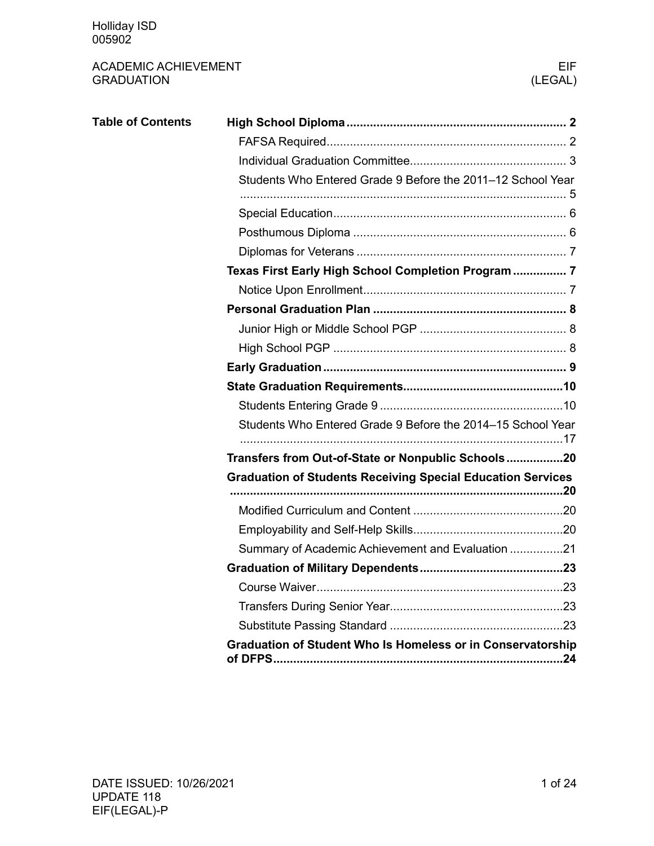| <b>Table of Contents</b> |                                                                    |  |  |  |  |  |
|--------------------------|--------------------------------------------------------------------|--|--|--|--|--|
|                          |                                                                    |  |  |  |  |  |
|                          |                                                                    |  |  |  |  |  |
|                          | Students Who Entered Grade 9 Before the 2011-12 School Year        |  |  |  |  |  |
|                          |                                                                    |  |  |  |  |  |
|                          |                                                                    |  |  |  |  |  |
|                          |                                                                    |  |  |  |  |  |
|                          | Texas First Early High School Completion Program 7                 |  |  |  |  |  |
|                          |                                                                    |  |  |  |  |  |
|                          |                                                                    |  |  |  |  |  |
|                          |                                                                    |  |  |  |  |  |
|                          |                                                                    |  |  |  |  |  |
|                          |                                                                    |  |  |  |  |  |
|                          |                                                                    |  |  |  |  |  |
|                          |                                                                    |  |  |  |  |  |
|                          | Students Who Entered Grade 9 Before the 2014–15 School Year        |  |  |  |  |  |
|                          | Transfers from Out-of-State or Nonpublic Schools20                 |  |  |  |  |  |
|                          | <b>Graduation of Students Receiving Special Education Services</b> |  |  |  |  |  |
|                          |                                                                    |  |  |  |  |  |
|                          |                                                                    |  |  |  |  |  |
|                          | Summary of Academic Achievement and Evaluation 21                  |  |  |  |  |  |
|                          |                                                                    |  |  |  |  |  |
|                          |                                                                    |  |  |  |  |  |
|                          |                                                                    |  |  |  |  |  |
|                          |                                                                    |  |  |  |  |  |
|                          | <b>Graduation of Student Who Is Homeless or in Conservatorship</b> |  |  |  |  |  |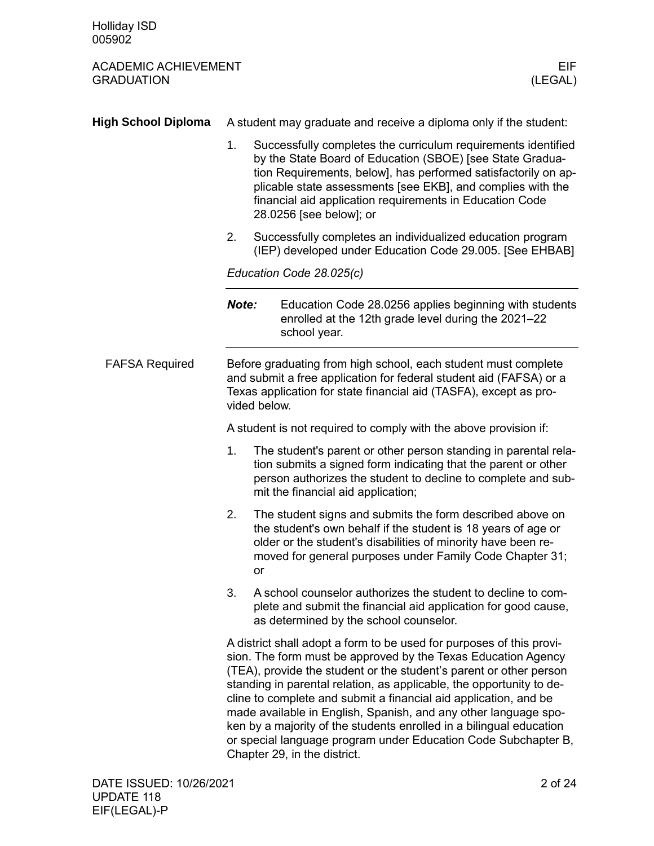<span id="page-1-1"></span><span id="page-1-0"></span>

| <b>High School Diploma</b> | A student may graduate and receive a diploma only if the student:                                                                                                                                                                                                                                                                                                                                                                                                                                                                                                                                   |                                                                                                                                                                                                                                                                                                                                                    |  |  |  |
|----------------------------|-----------------------------------------------------------------------------------------------------------------------------------------------------------------------------------------------------------------------------------------------------------------------------------------------------------------------------------------------------------------------------------------------------------------------------------------------------------------------------------------------------------------------------------------------------------------------------------------------------|----------------------------------------------------------------------------------------------------------------------------------------------------------------------------------------------------------------------------------------------------------------------------------------------------------------------------------------------------|--|--|--|
|                            | 1.                                                                                                                                                                                                                                                                                                                                                                                                                                                                                                                                                                                                  | Successfully completes the curriculum requirements identified<br>by the State Board of Education (SBOE) [see State Gradua-<br>tion Requirements, below], has performed satisfactorily on ap-<br>plicable state assessments [see EKB], and complies with the<br>financial aid application requirements in Education Code<br>28.0256 [see below]; or |  |  |  |
|                            | 2.                                                                                                                                                                                                                                                                                                                                                                                                                                                                                                                                                                                                  | Successfully completes an individualized education program<br>(IEP) developed under Education Code 29.005. [See EHBAB]                                                                                                                                                                                                                             |  |  |  |
|                            |                                                                                                                                                                                                                                                                                                                                                                                                                                                                                                                                                                                                     | Education Code 28.025(c)                                                                                                                                                                                                                                                                                                                           |  |  |  |
|                            | Note:                                                                                                                                                                                                                                                                                                                                                                                                                                                                                                                                                                                               | Education Code 28.0256 applies beginning with students<br>enrolled at the 12th grade level during the 2021-22<br>school year.                                                                                                                                                                                                                      |  |  |  |
| <b>FAFSA Required</b>      | Before graduating from high school, each student must complete<br>and submit a free application for federal student aid (FAFSA) or a<br>Texas application for state financial aid (TASFA), except as pro-<br>vided below.                                                                                                                                                                                                                                                                                                                                                                           |                                                                                                                                                                                                                                                                                                                                                    |  |  |  |
|                            |                                                                                                                                                                                                                                                                                                                                                                                                                                                                                                                                                                                                     | A student is not required to comply with the above provision if:                                                                                                                                                                                                                                                                                   |  |  |  |
|                            | 1.                                                                                                                                                                                                                                                                                                                                                                                                                                                                                                                                                                                                  | The student's parent or other person standing in parental rela-<br>tion submits a signed form indicating that the parent or other<br>person authorizes the student to decline to complete and sub-<br>mit the financial aid application;                                                                                                           |  |  |  |
|                            | 2.<br>or                                                                                                                                                                                                                                                                                                                                                                                                                                                                                                                                                                                            | The student signs and submits the form described above on<br>the student's own behalf if the student is 18 years of age or<br>older or the student's disabilities of minority have been re-<br>moved for general purposes under Family Code Chapter 31;                                                                                            |  |  |  |
|                            | 3.                                                                                                                                                                                                                                                                                                                                                                                                                                                                                                                                                                                                  | A school counselor authorizes the student to decline to com-<br>plete and submit the financial aid application for good cause,<br>as determined by the school counselor.                                                                                                                                                                           |  |  |  |
|                            | A district shall adopt a form to be used for purposes of this provi-<br>sion. The form must be approved by the Texas Education Agency<br>(TEA), provide the student or the student's parent or other person<br>standing in parental relation, as applicable, the opportunity to de-<br>cline to complete and submit a financial aid application, and be<br>made available in English, Spanish, and any other language spo-<br>ken by a majority of the students enrolled in a bilingual education<br>or special language program under Education Code Subchapter B,<br>Chapter 29, in the district. |                                                                                                                                                                                                                                                                                                                                                    |  |  |  |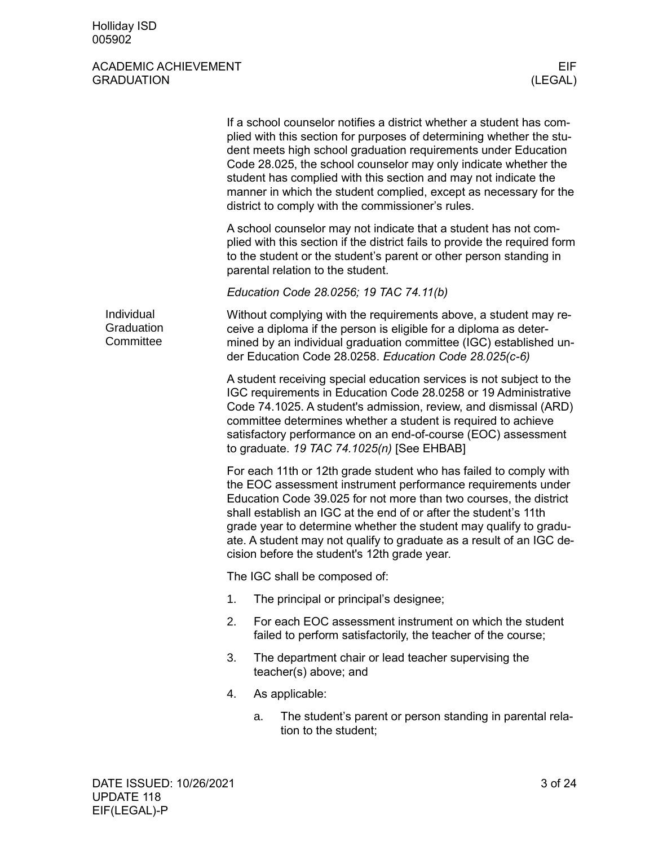<span id="page-2-0"></span>

|                                       | If a school counselor notifies a district whether a student has com-<br>plied with this section for purposes of determining whether the stu-<br>dent meets high school graduation requirements under Education<br>Code 28.025, the school counselor may only indicate whether the<br>student has complied with this section and may not indicate the<br>manner in which the student complied, except as necessary for the<br>district to comply with the commissioner's rules. |    |                                                                                                                                                                                                                                                                                                                                                                                                                                                                         |  |  |  |
|---------------------------------------|--------------------------------------------------------------------------------------------------------------------------------------------------------------------------------------------------------------------------------------------------------------------------------------------------------------------------------------------------------------------------------------------------------------------------------------------------------------------------------|----|-------------------------------------------------------------------------------------------------------------------------------------------------------------------------------------------------------------------------------------------------------------------------------------------------------------------------------------------------------------------------------------------------------------------------------------------------------------------------|--|--|--|
|                                       |                                                                                                                                                                                                                                                                                                                                                                                                                                                                                |    | A school counselor may not indicate that a student has not com-<br>plied with this section if the district fails to provide the required form<br>to the student or the student's parent or other person standing in<br>parental relation to the student.                                                                                                                                                                                                                |  |  |  |
|                                       |                                                                                                                                                                                                                                                                                                                                                                                                                                                                                |    | Education Code 28.0256; 19 TAC 74.11(b)                                                                                                                                                                                                                                                                                                                                                                                                                                 |  |  |  |
| Individual<br>Graduation<br>Committee | Without complying with the requirements above, a student may re-<br>ceive a diploma if the person is eligible for a diploma as deter-<br>mined by an individual graduation committee (IGC) established un-<br>der Education Code 28.0258. Education Code 28.025(c-6)                                                                                                                                                                                                           |    |                                                                                                                                                                                                                                                                                                                                                                                                                                                                         |  |  |  |
|                                       |                                                                                                                                                                                                                                                                                                                                                                                                                                                                                |    | A student receiving special education services is not subject to the<br>IGC requirements in Education Code 28.0258 or 19 Administrative<br>Code 74.1025. A student's admission, review, and dismissal (ARD)<br>committee determines whether a student is required to achieve<br>satisfactory performance on an end-of-course (EOC) assessment<br>to graduate. 19 TAC 74.1025(n) [See EHBAB]                                                                             |  |  |  |
|                                       |                                                                                                                                                                                                                                                                                                                                                                                                                                                                                |    | For each 11th or 12th grade student who has failed to comply with<br>the EOC assessment instrument performance requirements under<br>Education Code 39.025 for not more than two courses, the district<br>shall establish an IGC at the end of or after the student's 11th<br>grade year to determine whether the student may qualify to gradu-<br>ate. A student may not qualify to graduate as a result of an IGC de-<br>cision before the student's 12th grade year. |  |  |  |
|                                       |                                                                                                                                                                                                                                                                                                                                                                                                                                                                                |    | The IGC shall be composed of:                                                                                                                                                                                                                                                                                                                                                                                                                                           |  |  |  |
|                                       | 1.                                                                                                                                                                                                                                                                                                                                                                                                                                                                             |    | The principal or principal's designee;                                                                                                                                                                                                                                                                                                                                                                                                                                  |  |  |  |
|                                       | 2.                                                                                                                                                                                                                                                                                                                                                                                                                                                                             |    | For each EOC assessment instrument on which the student<br>failed to perform satisfactorily, the teacher of the course;                                                                                                                                                                                                                                                                                                                                                 |  |  |  |
|                                       | 3.                                                                                                                                                                                                                                                                                                                                                                                                                                                                             |    | The department chair or lead teacher supervising the<br>teacher(s) above; and                                                                                                                                                                                                                                                                                                                                                                                           |  |  |  |
|                                       | 4.                                                                                                                                                                                                                                                                                                                                                                                                                                                                             |    | As applicable:                                                                                                                                                                                                                                                                                                                                                                                                                                                          |  |  |  |
|                                       |                                                                                                                                                                                                                                                                                                                                                                                                                                                                                | a. | The student's parent or person standing in parental rela-<br>tion to the student;                                                                                                                                                                                                                                                                                                                                                                                       |  |  |  |
|                                       |                                                                                                                                                                                                                                                                                                                                                                                                                                                                                |    |                                                                                                                                                                                                                                                                                                                                                                                                                                                                         |  |  |  |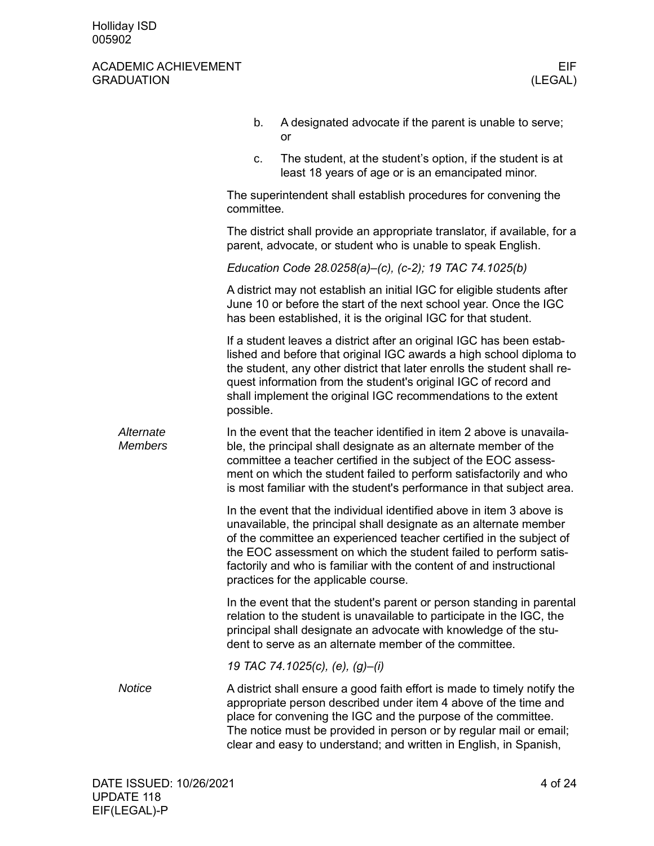|                             | b.         | A designated advocate if the parent is unable to serve;<br>or                                                                                                                                                                                                                                                                                                                                       |
|-----------------------------|------------|-----------------------------------------------------------------------------------------------------------------------------------------------------------------------------------------------------------------------------------------------------------------------------------------------------------------------------------------------------------------------------------------------------|
|                             | c.         | The student, at the student's option, if the student is at<br>least 18 years of age or is an emancipated minor.                                                                                                                                                                                                                                                                                     |
|                             | committee. | The superintendent shall establish procedures for convening the                                                                                                                                                                                                                                                                                                                                     |
|                             |            | The district shall provide an appropriate translator, if available, for a<br>parent, advocate, or student who is unable to speak English.                                                                                                                                                                                                                                                           |
|                             |            | Education Code 28.0258(a)-(c), (c-2); 19 TAC 74.1025(b)                                                                                                                                                                                                                                                                                                                                             |
|                             |            | A district may not establish an initial IGC for eligible students after<br>June 10 or before the start of the next school year. Once the IGC<br>has been established, it is the original IGC for that student.                                                                                                                                                                                      |
|                             | possible.  | If a student leaves a district after an original IGC has been estab-<br>lished and before that original IGC awards a high school diploma to<br>the student, any other district that later enrolls the student shall re-<br>quest information from the student's original IGC of record and<br>shall implement the original IGC recommendations to the extent                                        |
| Alternate<br><b>Members</b> |            | In the event that the teacher identified in item 2 above is unavaila-<br>ble, the principal shall designate as an alternate member of the<br>committee a teacher certified in the subject of the EOC assess-<br>ment on which the student failed to perform satisfactorily and who<br>is most familiar with the student's performance in that subject area.                                         |
|                             |            | In the event that the individual identified above in item 3 above is<br>unavailable, the principal shall designate as an alternate member<br>of the committee an experienced teacher certified in the subject of<br>the EOC assessment on which the student failed to perform satis-<br>factorily and who is familiar with the content of and instructional<br>practices for the applicable course. |
|                             |            | In the event that the student's parent or person standing in parental<br>relation to the student is unavailable to participate in the IGC, the<br>principal shall designate an advocate with knowledge of the stu-<br>dent to serve as an alternate member of the committee.                                                                                                                        |
|                             |            | 19 TAC 74.1025(c), (e), (g)-(i)                                                                                                                                                                                                                                                                                                                                                                     |
| <b>Notice</b>               |            | A district shall ensure a good faith effort is made to timely notify the<br>appropriate person described under item 4 above of the time and<br>place for convening the IGC and the purpose of the committee.<br>The notice must be provided in person or by regular mail or email;<br>clear and easy to understand; and written in English, in Spanish,                                             |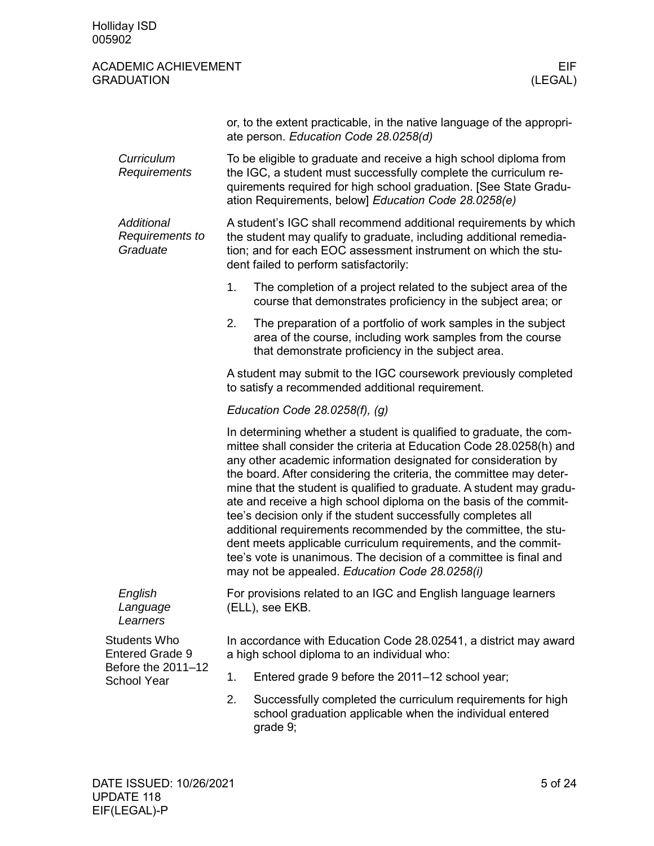<span id="page-4-0"></span>

|                                               | or, to the extent practicable, in the native language of the appropri-<br>ate person. Education Code 28.0258(d)                                                                                                                                                    |                                                                                                                                                                                                                                                                                                                                                                                                                                                                                                                                                                                                                                                                                                                                                              |  |  |  |  |
|-----------------------------------------------|--------------------------------------------------------------------------------------------------------------------------------------------------------------------------------------------------------------------------------------------------------------------|--------------------------------------------------------------------------------------------------------------------------------------------------------------------------------------------------------------------------------------------------------------------------------------------------------------------------------------------------------------------------------------------------------------------------------------------------------------------------------------------------------------------------------------------------------------------------------------------------------------------------------------------------------------------------------------------------------------------------------------------------------------|--|--|--|--|
| Curriculum<br>Requirements                    | To be eligible to graduate and receive a high school diploma from<br>the IGC, a student must successfully complete the curriculum re-<br>quirements required for high school graduation. [See State Gradu-<br>ation Requirements, below] Education Code 28.0258(e) |                                                                                                                                                                                                                                                                                                                                                                                                                                                                                                                                                                                                                                                                                                                                                              |  |  |  |  |
| Additional<br>Requirements to<br>Graduate     | A student's IGC shall recommend additional requirements by which<br>the student may qualify to graduate, including additional remedia-<br>tion; and for each EOC assessment instrument on which the stu-<br>dent failed to perform satisfactorily:                 |                                                                                                                                                                                                                                                                                                                                                                                                                                                                                                                                                                                                                                                                                                                                                              |  |  |  |  |
|                                               | 1.                                                                                                                                                                                                                                                                 | The completion of a project related to the subject area of the<br>course that demonstrates proficiency in the subject area; or                                                                                                                                                                                                                                                                                                                                                                                                                                                                                                                                                                                                                               |  |  |  |  |
|                                               | 2.                                                                                                                                                                                                                                                                 | The preparation of a portfolio of work samples in the subject<br>area of the course, including work samples from the course<br>that demonstrate proficiency in the subject area.                                                                                                                                                                                                                                                                                                                                                                                                                                                                                                                                                                             |  |  |  |  |
|                                               | A student may submit to the IGC coursework previously completed<br>to satisfy a recommended additional requirement.                                                                                                                                                |                                                                                                                                                                                                                                                                                                                                                                                                                                                                                                                                                                                                                                                                                                                                                              |  |  |  |  |
|                                               | Education Code $28.0258(f)$ , (g)                                                                                                                                                                                                                                  |                                                                                                                                                                                                                                                                                                                                                                                                                                                                                                                                                                                                                                                                                                                                                              |  |  |  |  |
|                                               |                                                                                                                                                                                                                                                                    | In determining whether a student is qualified to graduate, the com-<br>mittee shall consider the criteria at Education Code 28.0258(h) and<br>any other academic information designated for consideration by<br>the board. After considering the criteria, the committee may deter-<br>mine that the student is qualified to graduate. A student may gradu-<br>ate and receive a high school diploma on the basis of the commit-<br>tee's decision only if the student successfully completes all<br>additional requirements recommended by the committee, the stu-<br>dent meets applicable curriculum requirements, and the commit-<br>tee's vote is unanimous. The decision of a committee is final and<br>may not be appealed. Education Code 28.0258(i) |  |  |  |  |
| English<br>Language<br>Learners               | For provisions related to an IGC and English language learners<br>(ELL), see EKB.                                                                                                                                                                                  |                                                                                                                                                                                                                                                                                                                                                                                                                                                                                                                                                                                                                                                                                                                                                              |  |  |  |  |
| <b>Students Who</b><br><b>Entered Grade 9</b> |                                                                                                                                                                                                                                                                    | In accordance with Education Code 28.02541, a district may award<br>a high school diploma to an individual who:                                                                                                                                                                                                                                                                                                                                                                                                                                                                                                                                                                                                                                              |  |  |  |  |
| Before the 2011-12<br><b>School Year</b>      | 1.                                                                                                                                                                                                                                                                 | Entered grade 9 before the 2011-12 school year;                                                                                                                                                                                                                                                                                                                                                                                                                                                                                                                                                                                                                                                                                                              |  |  |  |  |
|                                               | 2.                                                                                                                                                                                                                                                                 | Successfully completed the curriculum requirements for high<br>school graduation applicable when the individual entered<br>grade 9;                                                                                                                                                                                                                                                                                                                                                                                                                                                                                                                                                                                                                          |  |  |  |  |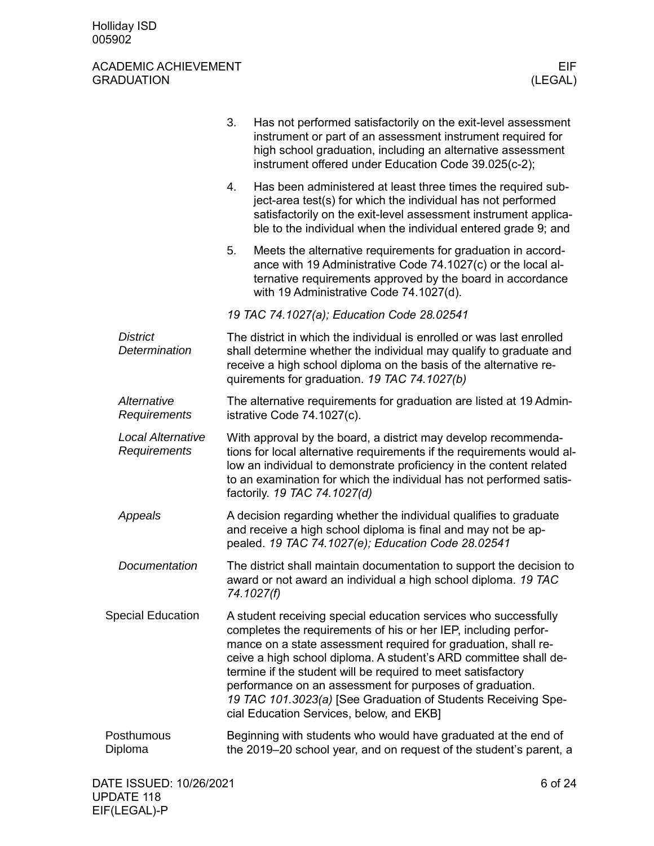<span id="page-5-1"></span><span id="page-5-0"></span>

|                                          | 3.<br>Has not performed satisfactorily on the exit-level assessment<br>instrument or part of an assessment instrument required for<br>high school graduation, including an alternative assessment<br>instrument offered under Education Code 39.025(c-2);                                                                                                                                                                                                                                                         |  |  |  |  |
|------------------------------------------|-------------------------------------------------------------------------------------------------------------------------------------------------------------------------------------------------------------------------------------------------------------------------------------------------------------------------------------------------------------------------------------------------------------------------------------------------------------------------------------------------------------------|--|--|--|--|
|                                          | Has been administered at least three times the required sub-<br>4.<br>ject-area test(s) for which the individual has not performed<br>satisfactorily on the exit-level assessment instrument applica-<br>ble to the individual when the individual entered grade 9; and                                                                                                                                                                                                                                           |  |  |  |  |
|                                          | 5.<br>Meets the alternative requirements for graduation in accord-<br>ance with 19 Administrative Code 74.1027(c) or the local al-<br>ternative requirements approved by the board in accordance<br>with 19 Administrative Code 74.1027(d).                                                                                                                                                                                                                                                                       |  |  |  |  |
|                                          | 19 TAC 74.1027(a); Education Code 28.02541                                                                                                                                                                                                                                                                                                                                                                                                                                                                        |  |  |  |  |
| <b>District</b><br>Determination         | The district in which the individual is enrolled or was last enrolled<br>shall determine whether the individual may qualify to graduate and<br>receive a high school diploma on the basis of the alternative re-<br>quirements for graduation. 19 TAC 74.1027(b)                                                                                                                                                                                                                                                  |  |  |  |  |
| Alternative<br>Requirements              | The alternative requirements for graduation are listed at 19 Admin-<br>istrative Code 74.1027(c).                                                                                                                                                                                                                                                                                                                                                                                                                 |  |  |  |  |
| <b>Local Alternative</b><br>Requirements | With approval by the board, a district may develop recommenda-<br>tions for local alternative requirements if the requirements would al-<br>low an individual to demonstrate proficiency in the content related<br>to an examination for which the individual has not performed satis-<br>factorily. 19 TAC 74.1027(d)                                                                                                                                                                                            |  |  |  |  |
| Appeals                                  | A decision regarding whether the individual qualifies to graduate<br>and receive a high school diploma is final and may not be ap-<br>pealed. 19 TAC 74.1027(e); Education Code 28.02541                                                                                                                                                                                                                                                                                                                          |  |  |  |  |
| Documentation                            | The district shall maintain documentation to support the decision to<br>award or not award an individual a high school diploma. 19 TAC<br>74.1027(f)                                                                                                                                                                                                                                                                                                                                                              |  |  |  |  |
| <b>Special Education</b>                 | A student receiving special education services who successfully<br>completes the requirements of his or her IEP, including perfor-<br>mance on a state assessment required for graduation, shall re-<br>ceive a high school diploma. A student's ARD committee shall de-<br>termine if the student will be required to meet satisfactory<br>performance on an assessment for purposes of graduation.<br>19 TAC 101.3023(a) [See Graduation of Students Receiving Spe-<br>cial Education Services, below, and EKB] |  |  |  |  |
| Posthumous<br>Diploma                    | Beginning with students who would have graduated at the end of<br>the 2019-20 school year, and on request of the student's parent, a                                                                                                                                                                                                                                                                                                                                                                              |  |  |  |  |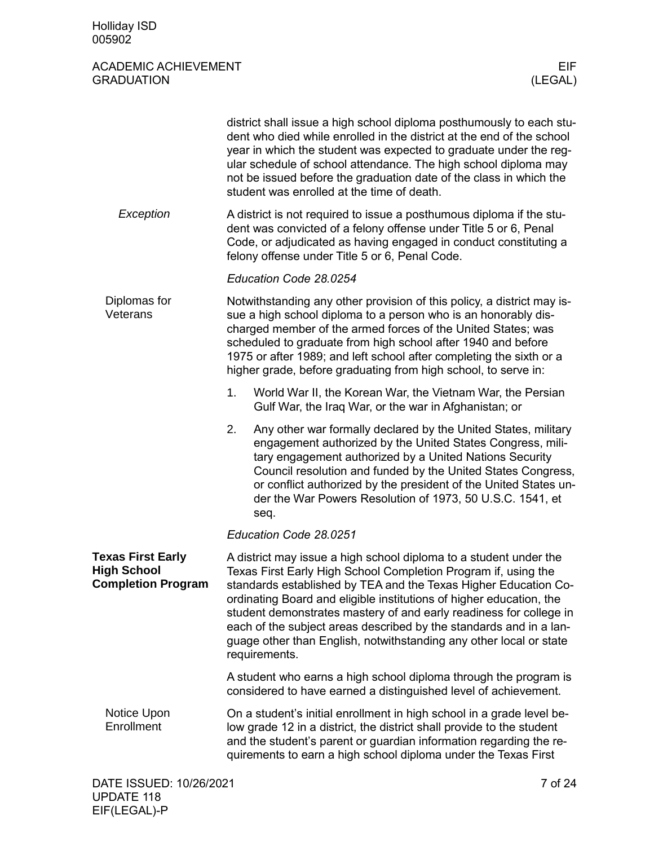<span id="page-6-2"></span><span id="page-6-1"></span><span id="page-6-0"></span>

|                                                                             |                                                                                                                                                                                                                                                                                                                                                                                                                                                                                                                  | district shall issue a high school diploma posthumously to each stu-<br>dent who died while enrolled in the district at the end of the school<br>year in which the student was expected to graduate under the reg-<br>ular schedule of school attendance. The high school diploma may<br>not be issued before the graduation date of the class in which the<br>student was enrolled at the time of death. |  |  |
|-----------------------------------------------------------------------------|------------------------------------------------------------------------------------------------------------------------------------------------------------------------------------------------------------------------------------------------------------------------------------------------------------------------------------------------------------------------------------------------------------------------------------------------------------------------------------------------------------------|-----------------------------------------------------------------------------------------------------------------------------------------------------------------------------------------------------------------------------------------------------------------------------------------------------------------------------------------------------------------------------------------------------------|--|--|
| Exception                                                                   | A district is not required to issue a posthumous diploma if the stu-<br>dent was convicted of a felony offense under Title 5 or 6, Penal<br>Code, or adjudicated as having engaged in conduct constituting a<br>felony offense under Title 5 or 6, Penal Code.                                                                                                                                                                                                                                                   |                                                                                                                                                                                                                                                                                                                                                                                                           |  |  |
|                                                                             |                                                                                                                                                                                                                                                                                                                                                                                                                                                                                                                  | Education Code 28.0254                                                                                                                                                                                                                                                                                                                                                                                    |  |  |
| Diplomas for<br>Veterans                                                    | Notwithstanding any other provision of this policy, a district may is-<br>sue a high school diploma to a person who is an honorably dis-<br>charged member of the armed forces of the United States; was<br>scheduled to graduate from high school after 1940 and before<br>1975 or after 1989; and left school after completing the sixth or a<br>higher grade, before graduating from high school, to serve in:                                                                                                |                                                                                                                                                                                                                                                                                                                                                                                                           |  |  |
|                                                                             | 1.                                                                                                                                                                                                                                                                                                                                                                                                                                                                                                               | World War II, the Korean War, the Vietnam War, the Persian<br>Gulf War, the Iraq War, or the war in Afghanistan; or                                                                                                                                                                                                                                                                                       |  |  |
|                                                                             | 2.                                                                                                                                                                                                                                                                                                                                                                                                                                                                                                               | Any other war formally declared by the United States, military<br>engagement authorized by the United States Congress, mili-<br>tary engagement authorized by a United Nations Security<br>Council resolution and funded by the United States Congress,<br>or conflict authorized by the president of the United States un-<br>der the War Powers Resolution of 1973, 50 U.S.C. 1541, et<br>seq.          |  |  |
|                                                                             |                                                                                                                                                                                                                                                                                                                                                                                                                                                                                                                  | Education Code 28.0251                                                                                                                                                                                                                                                                                                                                                                                    |  |  |
| <b>Texas First Early</b><br><b>High School</b><br><b>Completion Program</b> | A district may issue a high school diploma to a student under the<br>Texas First Early High School Completion Program if, using the<br>standards established by TEA and the Texas Higher Education Co-<br>ordinating Board and eligible institutions of higher education, the<br>student demonstrates mastery of and early readiness for college in<br>each of the subject areas described by the standards and in a lan-<br>guage other than English, notwithstanding any other local or state<br>requirements. |                                                                                                                                                                                                                                                                                                                                                                                                           |  |  |
|                                                                             |                                                                                                                                                                                                                                                                                                                                                                                                                                                                                                                  | A student who earns a high school diploma through the program is<br>considered to have earned a distinguished level of achievement.                                                                                                                                                                                                                                                                       |  |  |
| Notice Upon<br>Enrollment                                                   |                                                                                                                                                                                                                                                                                                                                                                                                                                                                                                                  | On a student's initial enrollment in high school in a grade level be-<br>low grade 12 in a district, the district shall provide to the student<br>and the student's parent or guardian information regarding the re-<br>quirements to earn a high school diploma under the Texas First                                                                                                                    |  |  |
| DATE ISSUED: 10/26/2021                                                     |                                                                                                                                                                                                                                                                                                                                                                                                                                                                                                                  | 7 of 24                                                                                                                                                                                                                                                                                                                                                                                                   |  |  |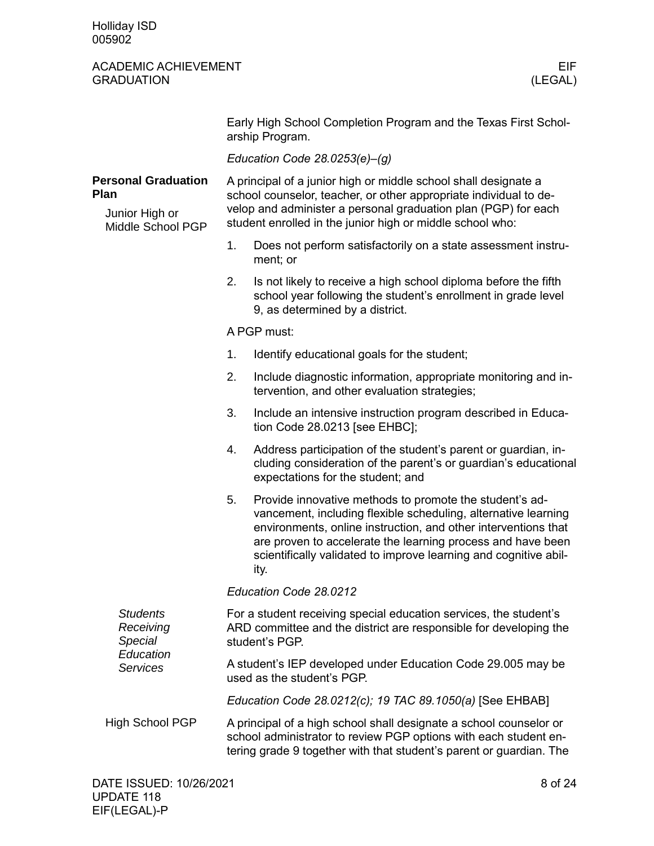Holliday ISD 005902

<span id="page-7-2"></span><span id="page-7-1"></span><span id="page-7-0"></span>

|                                                                                  | Early High School Completion Program and the Texas First Schol-<br>arship Program.                                                                                                                                                                                  |                                                                                                                                                                                                                                                                                                                                        |  |  |  |  |
|----------------------------------------------------------------------------------|---------------------------------------------------------------------------------------------------------------------------------------------------------------------------------------------------------------------------------------------------------------------|----------------------------------------------------------------------------------------------------------------------------------------------------------------------------------------------------------------------------------------------------------------------------------------------------------------------------------------|--|--|--|--|
|                                                                                  |                                                                                                                                                                                                                                                                     | Education Code $28.0253(e) - (g)$                                                                                                                                                                                                                                                                                                      |  |  |  |  |
| <b>Personal Graduation</b><br><b>Plan</b><br>Junior High or<br>Middle School PGP | A principal of a junior high or middle school shall designate a<br>school counselor, teacher, or other appropriate individual to de-<br>velop and administer a personal graduation plan (PGP) for each<br>student enrolled in the junior high or middle school who: |                                                                                                                                                                                                                                                                                                                                        |  |  |  |  |
|                                                                                  | 1.                                                                                                                                                                                                                                                                  | Does not perform satisfactorily on a state assessment instru-<br>ment; or                                                                                                                                                                                                                                                              |  |  |  |  |
|                                                                                  | 2.                                                                                                                                                                                                                                                                  | Is not likely to receive a high school diploma before the fifth<br>school year following the student's enrollment in grade level<br>9, as determined by a district.                                                                                                                                                                    |  |  |  |  |
|                                                                                  |                                                                                                                                                                                                                                                                     | A PGP must:                                                                                                                                                                                                                                                                                                                            |  |  |  |  |
|                                                                                  | 1.                                                                                                                                                                                                                                                                  | Identify educational goals for the student;                                                                                                                                                                                                                                                                                            |  |  |  |  |
|                                                                                  | 2.                                                                                                                                                                                                                                                                  | Include diagnostic information, appropriate monitoring and in-<br>tervention, and other evaluation strategies;                                                                                                                                                                                                                         |  |  |  |  |
|                                                                                  | 3.                                                                                                                                                                                                                                                                  | Include an intensive instruction program described in Educa-<br>tion Code 28.0213 [see EHBC];                                                                                                                                                                                                                                          |  |  |  |  |
|                                                                                  | 4.                                                                                                                                                                                                                                                                  | Address participation of the student's parent or guardian, in-<br>cluding consideration of the parent's or guardian's educational<br>expectations for the student; and                                                                                                                                                                 |  |  |  |  |
|                                                                                  | 5.                                                                                                                                                                                                                                                                  | Provide innovative methods to promote the student's ad-<br>vancement, including flexible scheduling, alternative learning<br>environments, online instruction, and other interventions that<br>are proven to accelerate the learning process and have been<br>scientifically validated to improve learning and cognitive abil-<br>ity. |  |  |  |  |
|                                                                                  | Education Code 28.0212                                                                                                                                                                                                                                              |                                                                                                                                                                                                                                                                                                                                        |  |  |  |  |
| <b>Students</b><br>Receiving<br>Special<br>Education<br><b>Services</b>          | For a student receiving special education services, the student's<br>ARD committee and the district are responsible for developing the<br>student's PGP.                                                                                                            |                                                                                                                                                                                                                                                                                                                                        |  |  |  |  |
|                                                                                  | A student's IEP developed under Education Code 29.005 may be<br>used as the student's PGP.                                                                                                                                                                          |                                                                                                                                                                                                                                                                                                                                        |  |  |  |  |
|                                                                                  | Education Code 28.0212(c); 19 TAC 89.1050(a) [See EHBAB]                                                                                                                                                                                                            |                                                                                                                                                                                                                                                                                                                                        |  |  |  |  |
| High School PGP                                                                  |                                                                                                                                                                                                                                                                     | A principal of a high school shall designate a school counselor or<br>school administrator to review PGP options with each student en-<br>tering grade 9 together with that student's parent or guardian. The                                                                                                                          |  |  |  |  |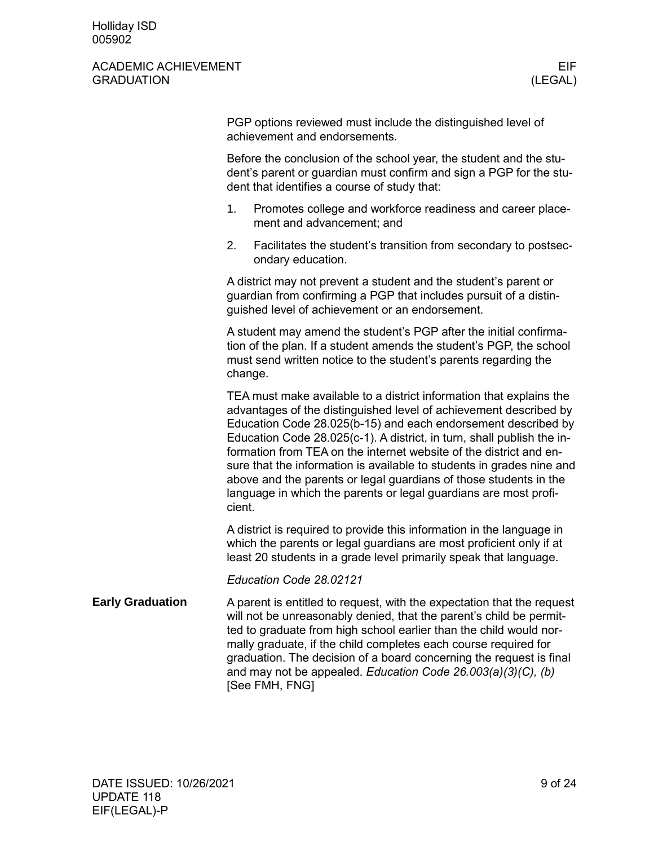<span id="page-8-0"></span>

|                         | PGP options reviewed must include the distinguished level of<br>achievement and endorsements.                                                                                                                                                                                                                                                                                                                                                                                                                                                                                         |
|-------------------------|---------------------------------------------------------------------------------------------------------------------------------------------------------------------------------------------------------------------------------------------------------------------------------------------------------------------------------------------------------------------------------------------------------------------------------------------------------------------------------------------------------------------------------------------------------------------------------------|
|                         | Before the conclusion of the school year, the student and the stu-<br>dent's parent or guardian must confirm and sign a PGP for the stu-<br>dent that identifies a course of study that:                                                                                                                                                                                                                                                                                                                                                                                              |
|                         | 1.<br>Promotes college and workforce readiness and career place-<br>ment and advancement; and                                                                                                                                                                                                                                                                                                                                                                                                                                                                                         |
|                         | Facilitates the student's transition from secondary to postsec-<br>2.<br>ondary education.                                                                                                                                                                                                                                                                                                                                                                                                                                                                                            |
|                         | A district may not prevent a student and the student's parent or<br>guardian from confirming a PGP that includes pursuit of a distin-<br>guished level of achievement or an endorsement.                                                                                                                                                                                                                                                                                                                                                                                              |
|                         | A student may amend the student's PGP after the initial confirma-<br>tion of the plan. If a student amends the student's PGP, the school<br>must send written notice to the student's parents regarding the<br>change.                                                                                                                                                                                                                                                                                                                                                                |
|                         | TEA must make available to a district information that explains the<br>advantages of the distinguished level of achievement described by<br>Education Code 28.025(b-15) and each endorsement described by<br>Education Code 28.025(c-1). A district, in turn, shall publish the in-<br>formation from TEA on the internet website of the district and en-<br>sure that the information is available to students in grades nine and<br>above and the parents or legal guardians of those students in the<br>language in which the parents or legal guardians are most profi-<br>cient. |
|                         | A district is required to provide this information in the language in<br>which the parents or legal guardians are most proficient only if at<br>least 20 students in a grade level primarily speak that language.                                                                                                                                                                                                                                                                                                                                                                     |
|                         | Education Code 28.02121                                                                                                                                                                                                                                                                                                                                                                                                                                                                                                                                                               |
| <b>Early Graduation</b> | A parent is entitled to request, with the expectation that the request<br>will not be unreasonably denied, that the parent's child be permit-<br>ted to graduate from high school earlier than the child would nor-<br>mally graduate, if the child completes each course required for<br>graduation. The decision of a board concerning the request is final<br>and may not be appealed. Education Code $26.003(a)(3)(C)$ , (b)<br>[See FMH, FNG]                                                                                                                                    |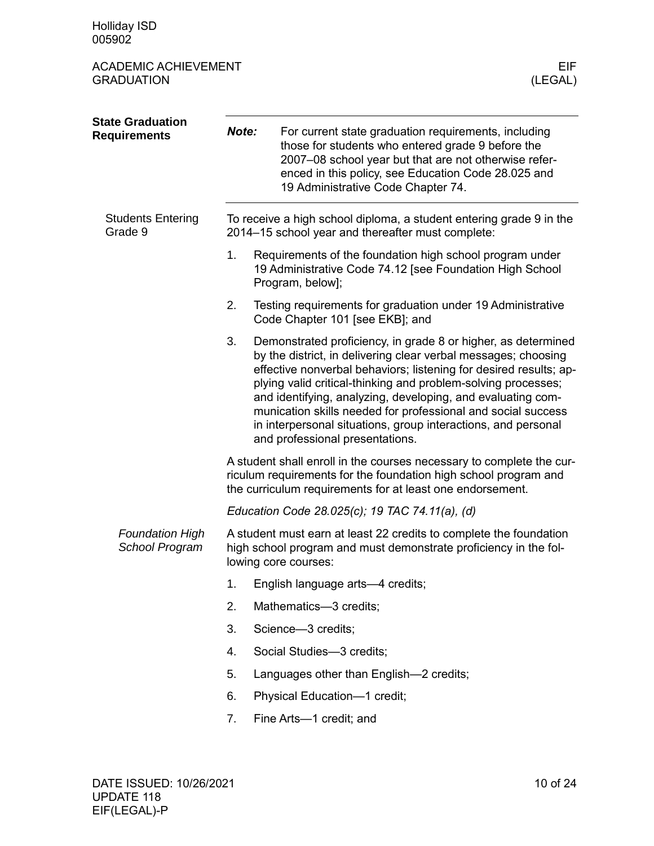<span id="page-9-1"></span><span id="page-9-0"></span>

| <b>State Graduation</b><br><b>Requirements</b> | Note:                                                                                                                                                                                                |                                                                                                                          | For current state graduation requirements, including<br>those for students who entered grade 9 before the<br>2007-08 school year but that are not otherwise refer-<br>enced in this policy, see Education Code 28.025 and<br>19 Administrative Code Chapter 74.                                                                                                                                                                                                                                          |  |  |  |
|------------------------------------------------|------------------------------------------------------------------------------------------------------------------------------------------------------------------------------------------------------|--------------------------------------------------------------------------------------------------------------------------|----------------------------------------------------------------------------------------------------------------------------------------------------------------------------------------------------------------------------------------------------------------------------------------------------------------------------------------------------------------------------------------------------------------------------------------------------------------------------------------------------------|--|--|--|
| <b>Students Entering</b><br>Grade 9            |                                                                                                                                                                                                      | To receive a high school diploma, a student entering grade 9 in the<br>2014-15 school year and thereafter must complete: |                                                                                                                                                                                                                                                                                                                                                                                                                                                                                                          |  |  |  |
|                                                | 1.                                                                                                                                                                                                   |                                                                                                                          | Requirements of the foundation high school program under<br>19 Administrative Code 74.12 [see Foundation High School<br>Program, below];                                                                                                                                                                                                                                                                                                                                                                 |  |  |  |
|                                                | 2.                                                                                                                                                                                                   |                                                                                                                          | Testing requirements for graduation under 19 Administrative<br>Code Chapter 101 [see EKB]; and                                                                                                                                                                                                                                                                                                                                                                                                           |  |  |  |
|                                                | 3.                                                                                                                                                                                                   |                                                                                                                          | Demonstrated proficiency, in grade 8 or higher, as determined<br>by the district, in delivering clear verbal messages; choosing<br>effective nonverbal behaviors; listening for desired results; ap-<br>plying valid critical-thinking and problem-solving processes;<br>and identifying, analyzing, developing, and evaluating com-<br>munication skills needed for professional and social success<br>in interpersonal situations, group interactions, and personal<br>and professional presentations. |  |  |  |
|                                                | A student shall enroll in the courses necessary to complete the cur-<br>riculum requirements for the foundation high school program and<br>the curriculum requirements for at least one endorsement. |                                                                                                                          |                                                                                                                                                                                                                                                                                                                                                                                                                                                                                                          |  |  |  |
|                                                |                                                                                                                                                                                                      |                                                                                                                          | Education Code 28.025(c); 19 TAC 74.11(a), (d)                                                                                                                                                                                                                                                                                                                                                                                                                                                           |  |  |  |
| <b>Foundation High</b><br>School Program       | A student must earn at least 22 credits to complete the foundation<br>high school program and must demonstrate proficiency in the fol-<br>lowing core courses:                                       |                                                                                                                          |                                                                                                                                                                                                                                                                                                                                                                                                                                                                                                          |  |  |  |
|                                                | 1.                                                                                                                                                                                                   |                                                                                                                          | English language arts-4 credits;                                                                                                                                                                                                                                                                                                                                                                                                                                                                         |  |  |  |
|                                                | 2.                                                                                                                                                                                                   |                                                                                                                          | Mathematics-3 credits;                                                                                                                                                                                                                                                                                                                                                                                                                                                                                   |  |  |  |
|                                                | 3.                                                                                                                                                                                                   |                                                                                                                          | Science-3 credits;                                                                                                                                                                                                                                                                                                                                                                                                                                                                                       |  |  |  |
|                                                | 4.                                                                                                                                                                                                   |                                                                                                                          | Social Studies-3 credits;                                                                                                                                                                                                                                                                                                                                                                                                                                                                                |  |  |  |
|                                                | 5.                                                                                                                                                                                                   |                                                                                                                          | Languages other than English-2 credits;                                                                                                                                                                                                                                                                                                                                                                                                                                                                  |  |  |  |
|                                                | 6.                                                                                                                                                                                                   |                                                                                                                          | Physical Education-1 credit;                                                                                                                                                                                                                                                                                                                                                                                                                                                                             |  |  |  |
|                                                | 7.                                                                                                                                                                                                   |                                                                                                                          | Fine Arts-1 credit; and                                                                                                                                                                                                                                                                                                                                                                                                                                                                                  |  |  |  |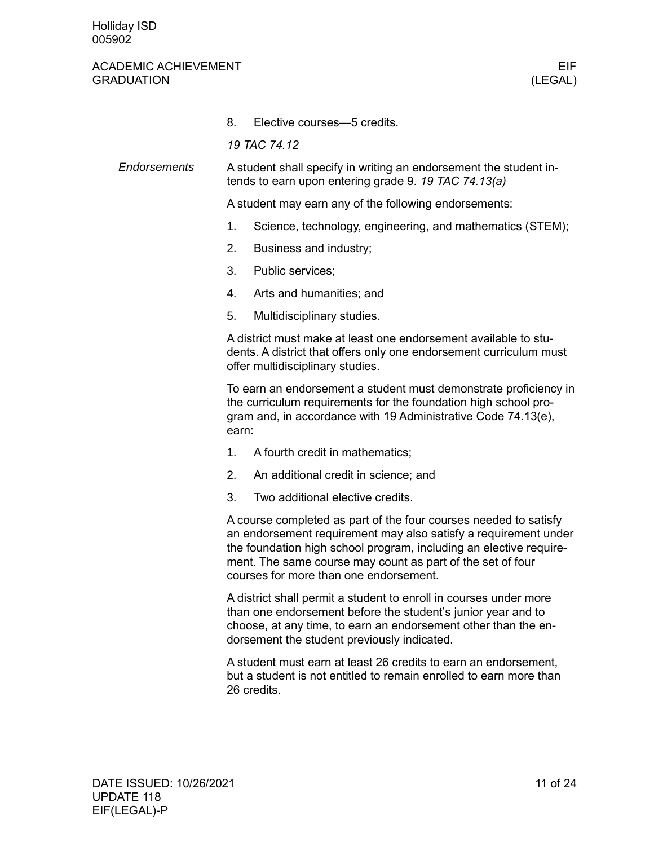#### ACADEMIC ACHIEVEMENT EIF GRADUATION (LEGAL)

8. Elective courses—5 credits.

*19 TAC 74.12*

A student shall specify in writing an endorsement the student intends to earn upon entering grade 9. *19 TAC 74.13(a) Endorsements*

A student may earn any of the following endorsements:

- 1. Science, technology, engineering, and mathematics (STEM);
- 2. Business and industry;
- 3. Public services;
- 4. Arts and humanities; and
- 5. Multidisciplinary studies.

A district must make at least one endorsement available to students. A district that offers only one endorsement curriculum must offer multidisciplinary studies.

To earn an endorsement a student must demonstrate proficiency in the curriculum requirements for the foundation high school program and, in accordance with 19 Administrative Code 74.13(e), earn:

- 1. A fourth credit in mathematics;
- 2. An additional credit in science; and
- 3. Two additional elective credits.

A course completed as part of the four courses needed to satisfy an endorsement requirement may also satisfy a requirement under the foundation high school program, including an elective requirement. The same course may count as part of the set of four courses for more than one endorsement.

A district shall permit a student to enroll in courses under more than one endorsement before the student's junior year and to choose, at any time, to earn an endorsement other than the endorsement the student previously indicated.

A student must earn at least 26 credits to earn an endorsement, but a student is not entitled to remain enrolled to earn more than 26 credits.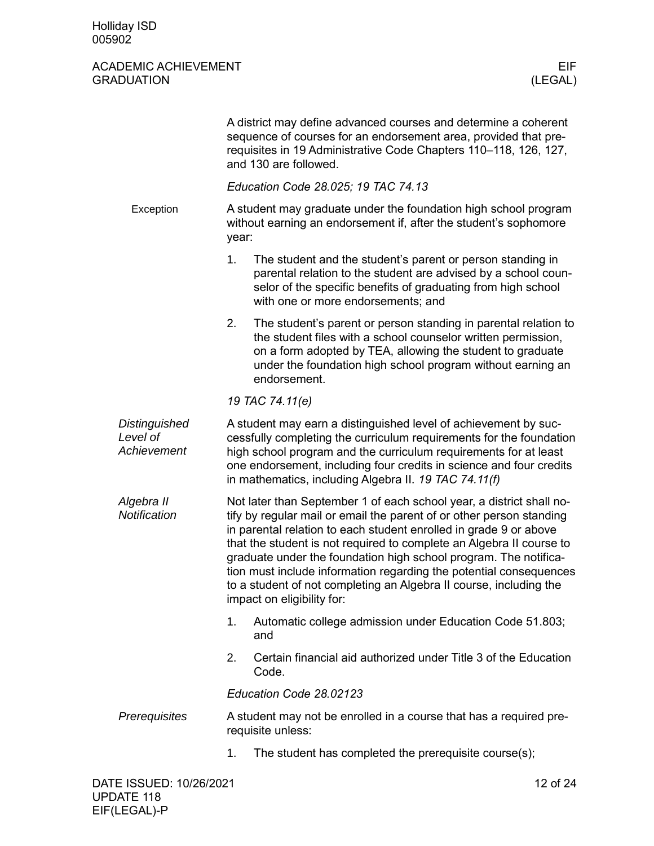|                                          |                                                                                                                                                                                                                                                                                                                                            | A district may define advanced courses and determine a coherent<br>sequence of courses for an endorsement area, provided that pre-<br>requisites in 19 Administrative Code Chapters 110-118, 126, 127,<br>and 130 are followed.                                                                                                                                                                                                                                                                                                         |  |  |  |
|------------------------------------------|--------------------------------------------------------------------------------------------------------------------------------------------------------------------------------------------------------------------------------------------------------------------------------------------------------------------------------------------|-----------------------------------------------------------------------------------------------------------------------------------------------------------------------------------------------------------------------------------------------------------------------------------------------------------------------------------------------------------------------------------------------------------------------------------------------------------------------------------------------------------------------------------------|--|--|--|
|                                          |                                                                                                                                                                                                                                                                                                                                            | Education Code 28.025; 19 TAC 74.13                                                                                                                                                                                                                                                                                                                                                                                                                                                                                                     |  |  |  |
| Exception                                |                                                                                                                                                                                                                                                                                                                                            | A student may graduate under the foundation high school program<br>without earning an endorsement if, after the student's sophomore<br>year:                                                                                                                                                                                                                                                                                                                                                                                            |  |  |  |
|                                          | 1.                                                                                                                                                                                                                                                                                                                                         | The student and the student's parent or person standing in<br>parental relation to the student are advised by a school coun-<br>selor of the specific benefits of graduating from high school<br>with one or more endorsements; and                                                                                                                                                                                                                                                                                                     |  |  |  |
|                                          | 2.                                                                                                                                                                                                                                                                                                                                         | The student's parent or person standing in parental relation to<br>the student files with a school counselor written permission,<br>on a form adopted by TEA, allowing the student to graduate<br>under the foundation high school program without earning an<br>endorsement.                                                                                                                                                                                                                                                           |  |  |  |
|                                          |                                                                                                                                                                                                                                                                                                                                            | 19 TAC 74.11(e)                                                                                                                                                                                                                                                                                                                                                                                                                                                                                                                         |  |  |  |
| Distinguished<br>Level of<br>Achievement | A student may earn a distinguished level of achievement by suc-<br>cessfully completing the curriculum requirements for the foundation<br>high school program and the curriculum requirements for at least<br>one endorsement, including four credits in science and four credits<br>in mathematics, including Algebra II. 19 TAC 74.11(f) |                                                                                                                                                                                                                                                                                                                                                                                                                                                                                                                                         |  |  |  |
| Algebra II<br>Notification               |                                                                                                                                                                                                                                                                                                                                            | Not later than September 1 of each school year, a district shall no-<br>tify by regular mail or email the parent of or other person standing<br>in parental relation to each student enrolled in grade 9 or above<br>that the student is not required to complete an Algebra II course to<br>graduate under the foundation high school program. The notifica-<br>tion must include information regarding the potential consequences<br>to a student of not completing an Algebra II course, including the<br>impact on eligibility for: |  |  |  |
|                                          | 1.                                                                                                                                                                                                                                                                                                                                         | Automatic college admission under Education Code 51.803;<br>and                                                                                                                                                                                                                                                                                                                                                                                                                                                                         |  |  |  |
|                                          | 2.                                                                                                                                                                                                                                                                                                                                         | Certain financial aid authorized under Title 3 of the Education<br>Code.                                                                                                                                                                                                                                                                                                                                                                                                                                                                |  |  |  |
|                                          |                                                                                                                                                                                                                                                                                                                                            | Education Code 28.02123                                                                                                                                                                                                                                                                                                                                                                                                                                                                                                                 |  |  |  |
| Prerequisites                            |                                                                                                                                                                                                                                                                                                                                            | A student may not be enrolled in a course that has a required pre-<br>requisite unless:                                                                                                                                                                                                                                                                                                                                                                                                                                                 |  |  |  |
|                                          | 1.                                                                                                                                                                                                                                                                                                                                         | The student has completed the prerequisite course(s);                                                                                                                                                                                                                                                                                                                                                                                                                                                                                   |  |  |  |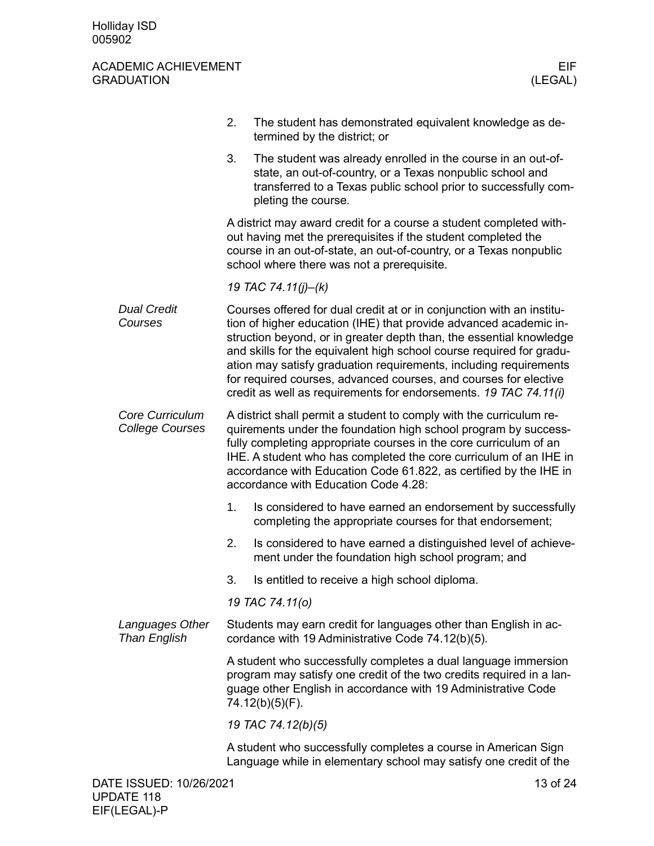|                                           | 2.                                                                                                                    | The student has demonstrated equivalent knowledge as de-<br>termined by the district; or                                                                                                                                                                                                                                                                                                                                                                                                               |  |  |  |
|-------------------------------------------|-----------------------------------------------------------------------------------------------------------------------|--------------------------------------------------------------------------------------------------------------------------------------------------------------------------------------------------------------------------------------------------------------------------------------------------------------------------------------------------------------------------------------------------------------------------------------------------------------------------------------------------------|--|--|--|
|                                           | 3.                                                                                                                    | The student was already enrolled in the course in an out-of-<br>state, an out-of-country, or a Texas nonpublic school and<br>transferred to a Texas public school prior to successfully com-<br>pleting the course.                                                                                                                                                                                                                                                                                    |  |  |  |
|                                           |                                                                                                                       | A district may award credit for a course a student completed with-<br>out having met the prerequisites if the student completed the<br>course in an out-of-state, an out-of-country, or a Texas nonpublic<br>school where there was not a prerequisite.                                                                                                                                                                                                                                                |  |  |  |
|                                           |                                                                                                                       | 19 TAC 74.11(j)-(k)                                                                                                                                                                                                                                                                                                                                                                                                                                                                                    |  |  |  |
| <b>Dual Credit</b><br>Courses             |                                                                                                                       | Courses offered for dual credit at or in conjunction with an institu-<br>tion of higher education (IHE) that provide advanced academic in-<br>struction beyond, or in greater depth than, the essential knowledge<br>and skills for the equivalent high school course required for gradu-<br>ation may satisfy graduation requirements, including requirements<br>for required courses, advanced courses, and courses for elective<br>credit as well as requirements for endorsements. 19 TAC 74.11(i) |  |  |  |
| Core Curriculum<br><b>College Courses</b> |                                                                                                                       | A district shall permit a student to comply with the curriculum re-<br>quirements under the foundation high school program by success-<br>fully completing appropriate courses in the core curriculum of an<br>IHE. A student who has completed the core curriculum of an IHE in<br>accordance with Education Code 61.822, as certified by the IHE in<br>accordance with Education Code 4.28:                                                                                                          |  |  |  |
|                                           | 1.                                                                                                                    | Is considered to have earned an endorsement by successfully<br>completing the appropriate courses for that endorsement;                                                                                                                                                                                                                                                                                                                                                                                |  |  |  |
|                                           | 2.                                                                                                                    | Is considered to have earned a distinguished level of achieve-<br>ment under the foundation high school program; and                                                                                                                                                                                                                                                                                                                                                                                   |  |  |  |
|                                           | 3.                                                                                                                    | Is entitled to receive a high school diploma.                                                                                                                                                                                                                                                                                                                                                                                                                                                          |  |  |  |
|                                           |                                                                                                                       | 19 TAC 74.11(o)                                                                                                                                                                                                                                                                                                                                                                                                                                                                                        |  |  |  |
| Languages Other<br><b>Than English</b>    | Students may earn credit for languages other than English in ac-<br>cordance with 19 Administrative Code 74.12(b)(5). |                                                                                                                                                                                                                                                                                                                                                                                                                                                                                                        |  |  |  |
|                                           |                                                                                                                       | A student who successfully completes a dual language immersion<br>program may satisfy one credit of the two credits required in a lan-<br>guage other English in accordance with 19 Administrative Code<br>74.12(b)(5)(F).                                                                                                                                                                                                                                                                             |  |  |  |
|                                           |                                                                                                                       | 19 TAC 74.12(b)(5)                                                                                                                                                                                                                                                                                                                                                                                                                                                                                     |  |  |  |
|                                           |                                                                                                                       | A student who successfully completes a course in American Sign<br>Language while in elementary school may satisfy one credit of the                                                                                                                                                                                                                                                                                                                                                                    |  |  |  |
| DATE ISSUED: 10/26/2021                   |                                                                                                                       | 13 of 24                                                                                                                                                                                                                                                                                                                                                                                                                                                                                               |  |  |  |
|                                           |                                                                                                                       |                                                                                                                                                                                                                                                                                                                                                                                                                                                                                                        |  |  |  |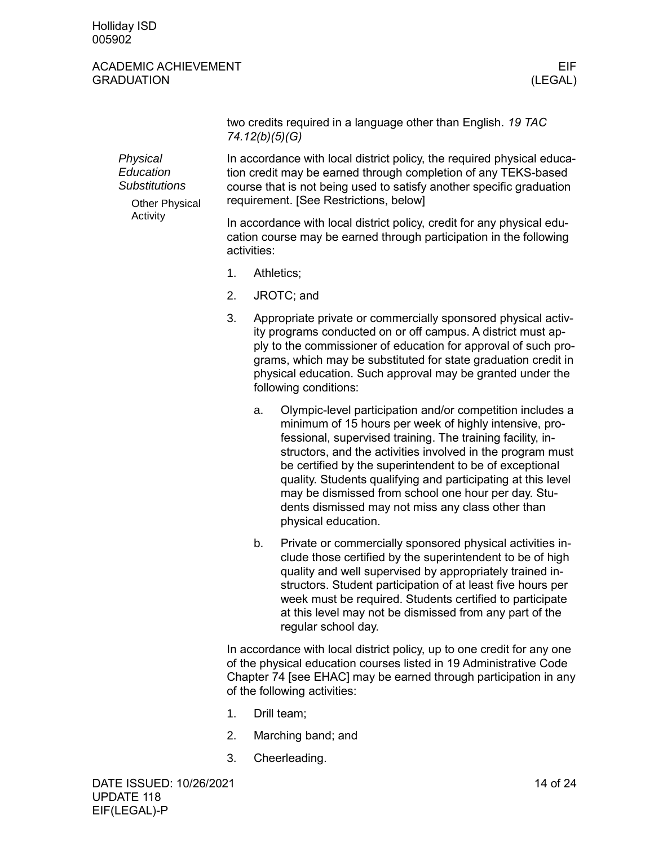#### ACADEMIC ACHIEVEMENT EIF GRADUATION (LEGAL)

|                                                                                    | two credits required in a language other than English. 19 TAC<br>74.12(b)(5)(G)                                                                                                                                                                            |                                                                                                                                                             |                                                                                                                                                                                                                                                                                                                                                                                                                                                                                                               |  |
|------------------------------------------------------------------------------------|------------------------------------------------------------------------------------------------------------------------------------------------------------------------------------------------------------------------------------------------------------|-------------------------------------------------------------------------------------------------------------------------------------------------------------|---------------------------------------------------------------------------------------------------------------------------------------------------------------------------------------------------------------------------------------------------------------------------------------------------------------------------------------------------------------------------------------------------------------------------------------------------------------------------------------------------------------|--|
| Physical<br>Education<br><b>Substitutions</b><br><b>Other Physical</b><br>Activity | In accordance with local district policy, the required physical educa-<br>tion credit may be earned through completion of any TEKS-based<br>course that is not being used to satisfy another specific graduation<br>requirement. [See Restrictions, below] |                                                                                                                                                             |                                                                                                                                                                                                                                                                                                                                                                                                                                                                                                               |  |
|                                                                                    |                                                                                                                                                                                                                                                            | In accordance with local district policy, credit for any physical edu-<br>cation course may be earned through participation in the following<br>activities: |                                                                                                                                                                                                                                                                                                                                                                                                                                                                                                               |  |
|                                                                                    | 1.                                                                                                                                                                                                                                                         | Athletics;                                                                                                                                                  |                                                                                                                                                                                                                                                                                                                                                                                                                                                                                                               |  |
|                                                                                    | 2.<br>3.<br>a.<br>b.                                                                                                                                                                                                                                       | JROTC; and                                                                                                                                                  |                                                                                                                                                                                                                                                                                                                                                                                                                                                                                                               |  |
|                                                                                    |                                                                                                                                                                                                                                                            |                                                                                                                                                             | Appropriate private or commercially sponsored physical activ-<br>ity programs conducted on or off campus. A district must ap-<br>ply to the commissioner of education for approval of such pro-<br>grams, which may be substituted for state graduation credit in<br>physical education. Such approval may be granted under the<br>following conditions:                                                                                                                                                      |  |
|                                                                                    |                                                                                                                                                                                                                                                            |                                                                                                                                                             | Olympic-level participation and/or competition includes a<br>minimum of 15 hours per week of highly intensive, pro-<br>fessional, supervised training. The training facility, in-<br>structors, and the activities involved in the program must<br>be certified by the superintendent to be of exceptional<br>quality. Students qualifying and participating at this level<br>may be dismissed from school one hour per day. Stu-<br>dents dismissed may not miss any class other than<br>physical education. |  |
|                                                                                    |                                                                                                                                                                                                                                                            |                                                                                                                                                             | Private or commercially sponsored physical activities in-<br>clude those certified by the superintendent to be of high<br>quality and well supervised by appropriately trained in-<br>structors. Student participation of at least five hours per<br>week must be required. Students certified to participate<br>at this level may not be dismissed from any part of the<br>regular school day.                                                                                                               |  |

In accordance with local district policy, up to one credit for any one of the physical education courses listed in 19 Administrative Code Chapter 74 [see EHAC] may be earned through participation in any of the following activities:

- 1. Drill team;
- 2. Marching band; and
- 3. Cheerleading.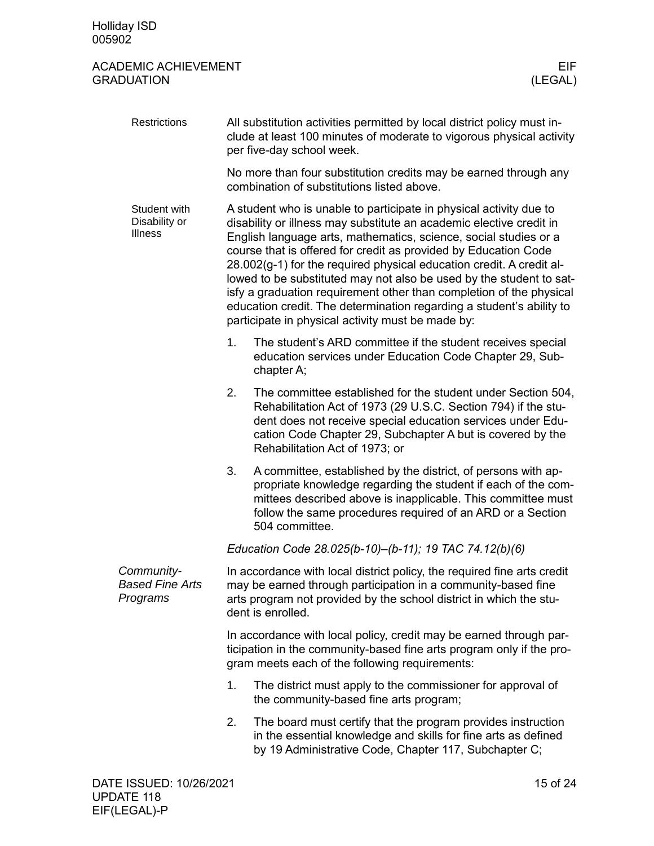| Restrictions                                     |    | All substitution activities permitted by local district policy must in-<br>clude at least 100 minutes of moderate to vigorous physical activity<br>per five-day school week.                                                                                                                                                                                                                                                                                                                                                                                                                                                        |  |  |  |
|--------------------------------------------------|----|-------------------------------------------------------------------------------------------------------------------------------------------------------------------------------------------------------------------------------------------------------------------------------------------------------------------------------------------------------------------------------------------------------------------------------------------------------------------------------------------------------------------------------------------------------------------------------------------------------------------------------------|--|--|--|
|                                                  |    | No more than four substitution credits may be earned through any<br>combination of substitutions listed above.                                                                                                                                                                                                                                                                                                                                                                                                                                                                                                                      |  |  |  |
| Student with<br>Disability or<br>Illness         |    | A student who is unable to participate in physical activity due to<br>disability or illness may substitute an academic elective credit in<br>English language arts, mathematics, science, social studies or a<br>course that is offered for credit as provided by Education Code<br>28.002(g-1) for the required physical education credit. A credit al-<br>lowed to be substituted may not also be used by the student to sat-<br>isfy a graduation requirement other than completion of the physical<br>education credit. The determination regarding a student's ability to<br>participate in physical activity must be made by: |  |  |  |
|                                                  | 1. | The student's ARD committee if the student receives special<br>education services under Education Code Chapter 29, Sub-<br>chapter A;                                                                                                                                                                                                                                                                                                                                                                                                                                                                                               |  |  |  |
|                                                  | 2. | The committee established for the student under Section 504,<br>Rehabilitation Act of 1973 (29 U.S.C. Section 794) if the stu-<br>dent does not receive special education services under Edu-<br>cation Code Chapter 29, Subchapter A but is covered by the<br>Rehabilitation Act of 1973; or                                                                                                                                                                                                                                                                                                                                       |  |  |  |
|                                                  | 3. | A committee, established by the district, of persons with ap-<br>propriate knowledge regarding the student if each of the com-<br>mittees described above is inapplicable. This committee must<br>follow the same procedures required of an ARD or a Section<br>504 committee.                                                                                                                                                                                                                                                                                                                                                      |  |  |  |
|                                                  |    | Education Code 28.025(b-10)-(b-11); 19 TAC 74.12(b)(6)                                                                                                                                                                                                                                                                                                                                                                                                                                                                                                                                                                              |  |  |  |
| Community-<br><b>Based Fine Arts</b><br>Programs |    | In accordance with local district policy, the required fine arts credit<br>may be earned through participation in a community-based fine<br>arts program not provided by the school district in which the stu-<br>dent is enrolled.                                                                                                                                                                                                                                                                                                                                                                                                 |  |  |  |
|                                                  |    | In accordance with local policy, credit may be earned through par-<br>ticipation in the community-based fine arts program only if the pro-<br>gram meets each of the following requirements:                                                                                                                                                                                                                                                                                                                                                                                                                                        |  |  |  |
|                                                  | 1. | The district must apply to the commissioner for approval of<br>the community-based fine arts program;                                                                                                                                                                                                                                                                                                                                                                                                                                                                                                                               |  |  |  |
|                                                  | 2. | The board must certify that the program provides instruction<br>in the essential knowledge and skills for fine arts as defined<br>by 19 Administrative Code, Chapter 117, Subchapter C;                                                                                                                                                                                                                                                                                                                                                                                                                                             |  |  |  |
|                                                  |    |                                                                                                                                                                                                                                                                                                                                                                                                                                                                                                                                                                                                                                     |  |  |  |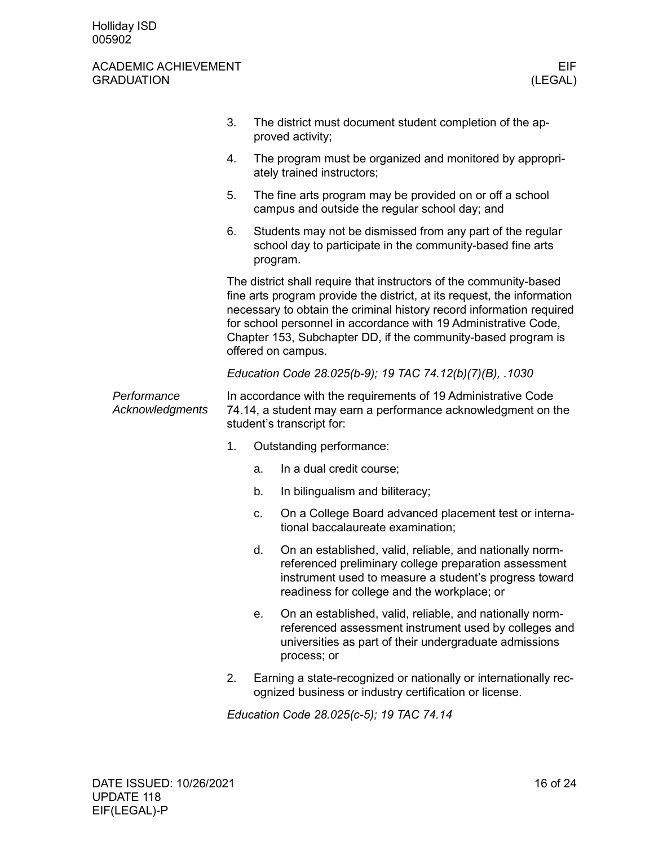|                                | 3.                                                                                                                                                                                                                                                                                                                                                                              |                                                                                                                                                             | The district must document student completion of the ap-<br>proved activity;                                                                                                                                               |  |  |
|--------------------------------|---------------------------------------------------------------------------------------------------------------------------------------------------------------------------------------------------------------------------------------------------------------------------------------------------------------------------------------------------------------------------------|-------------------------------------------------------------------------------------------------------------------------------------------------------------|----------------------------------------------------------------------------------------------------------------------------------------------------------------------------------------------------------------------------|--|--|
|                                | 4.                                                                                                                                                                                                                                                                                                                                                                              |                                                                                                                                                             | The program must be organized and monitored by appropri-<br>ately trained instructors;                                                                                                                                     |  |  |
|                                | 5.                                                                                                                                                                                                                                                                                                                                                                              |                                                                                                                                                             | The fine arts program may be provided on or off a school<br>campus and outside the regular school day; and                                                                                                                 |  |  |
|                                | 6.                                                                                                                                                                                                                                                                                                                                                                              |                                                                                                                                                             | Students may not be dismissed from any part of the regular<br>school day to participate in the community-based fine arts<br>program.                                                                                       |  |  |
|                                | The district shall require that instructors of the community-based<br>fine arts program provide the district, at its request, the information<br>necessary to obtain the criminal history record information required<br>for school personnel in accordance with 19 Administrative Code,<br>Chapter 153, Subchapter DD, if the community-based program is<br>offered on campus. |                                                                                                                                                             |                                                                                                                                                                                                                            |  |  |
|                                |                                                                                                                                                                                                                                                                                                                                                                                 |                                                                                                                                                             | Education Code 28.025(b-9); 19 TAC 74.12(b)(7)(B), .1030                                                                                                                                                                   |  |  |
| Performance<br>Acknowledgments |                                                                                                                                                                                                                                                                                                                                                                                 | In accordance with the requirements of 19 Administrative Code<br>74.14, a student may earn a performance acknowledgment on the<br>student's transcript for: |                                                                                                                                                                                                                            |  |  |
|                                | 1.                                                                                                                                                                                                                                                                                                                                                                              |                                                                                                                                                             | Outstanding performance:                                                                                                                                                                                                   |  |  |
|                                |                                                                                                                                                                                                                                                                                                                                                                                 | a.                                                                                                                                                          | In a dual credit course;                                                                                                                                                                                                   |  |  |
|                                |                                                                                                                                                                                                                                                                                                                                                                                 | b.                                                                                                                                                          | In bilingualism and biliteracy;                                                                                                                                                                                            |  |  |
|                                |                                                                                                                                                                                                                                                                                                                                                                                 | c.                                                                                                                                                          | On a College Board advanced placement test or interna-<br>tional baccalaureate examination;                                                                                                                                |  |  |
|                                |                                                                                                                                                                                                                                                                                                                                                                                 | d.                                                                                                                                                          | On an established, valid, reliable, and nationally norm-<br>referenced preliminary college preparation assessment<br>instrument used to measure a student's progress toward<br>readiness for college and the workplace; or |  |  |
|                                |                                                                                                                                                                                                                                                                                                                                                                                 | е.                                                                                                                                                          | On an established, valid, reliable, and nationally norm-<br>referenced assessment instrument used by colleges and<br>universities as part of their undergraduate admissions<br>process; or                                 |  |  |
|                                | 2.                                                                                                                                                                                                                                                                                                                                                                              | Earning a state-recognized or nationally or internationally rec-<br>ognized business or industry certification or license.                                  |                                                                                                                                                                                                                            |  |  |

*Education Code 28.025(c-5); 19 TAC 74.14*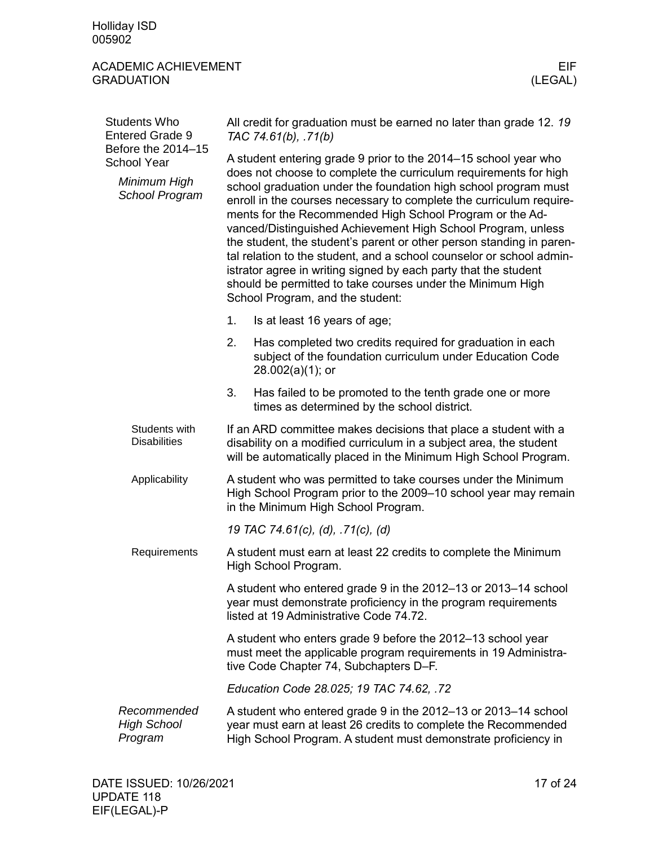Holliday ISD 005902

<span id="page-16-0"></span>

| <b>Students Who</b><br><b>Entered Grade 9</b><br>Before the 2014-15<br><b>School Year</b><br>Minimum High<br>School Program | All credit for graduation must be earned no later than grade 12.19<br>TAC 74.61(b), .71(b)                                                                                                                                                                                                                                                                                                                                                                                                                                                                                                                                                                                                                                     |  |  |  |
|-----------------------------------------------------------------------------------------------------------------------------|--------------------------------------------------------------------------------------------------------------------------------------------------------------------------------------------------------------------------------------------------------------------------------------------------------------------------------------------------------------------------------------------------------------------------------------------------------------------------------------------------------------------------------------------------------------------------------------------------------------------------------------------------------------------------------------------------------------------------------|--|--|--|
|                                                                                                                             | A student entering grade 9 prior to the 2014-15 school year who<br>does not choose to complete the curriculum requirements for high<br>school graduation under the foundation high school program must<br>enroll in the courses necessary to complete the curriculum require-<br>ments for the Recommended High School Program or the Ad-<br>vanced/Distinguished Achievement High School Program, unless<br>the student, the student's parent or other person standing in paren-<br>tal relation to the student, and a school counselor or school admin-<br>istrator agree in writing signed by each party that the student<br>should be permitted to take courses under the Minimum High<br>School Program, and the student: |  |  |  |
|                                                                                                                             | 1.<br>Is at least 16 years of age;                                                                                                                                                                                                                                                                                                                                                                                                                                                                                                                                                                                                                                                                                             |  |  |  |
|                                                                                                                             | 2.<br>Has completed two credits required for graduation in each<br>subject of the foundation curriculum under Education Code<br>$28.002(a)(1)$ ; or                                                                                                                                                                                                                                                                                                                                                                                                                                                                                                                                                                            |  |  |  |
|                                                                                                                             | 3.<br>Has failed to be promoted to the tenth grade one or more<br>times as determined by the school district.                                                                                                                                                                                                                                                                                                                                                                                                                                                                                                                                                                                                                  |  |  |  |
| Students with<br><b>Disabilities</b>                                                                                        | If an ARD committee makes decisions that place a student with a<br>disability on a modified curriculum in a subject area, the student<br>will be automatically placed in the Minimum High School Program.                                                                                                                                                                                                                                                                                                                                                                                                                                                                                                                      |  |  |  |
| Applicability                                                                                                               | A student who was permitted to take courses under the Minimum<br>High School Program prior to the 2009-10 school year may remain<br>in the Minimum High School Program.                                                                                                                                                                                                                                                                                                                                                                                                                                                                                                                                                        |  |  |  |
|                                                                                                                             | 19 TAC 74.61(c), (d), .71(c), (d)                                                                                                                                                                                                                                                                                                                                                                                                                                                                                                                                                                                                                                                                                              |  |  |  |
| Requirements                                                                                                                | A student must earn at least 22 credits to complete the Minimum<br>High School Program.                                                                                                                                                                                                                                                                                                                                                                                                                                                                                                                                                                                                                                        |  |  |  |
|                                                                                                                             | A student who entered grade 9 in the 2012-13 or 2013-14 school<br>year must demonstrate proficiency in the program requirements<br>listed at 19 Administrative Code 74.72.                                                                                                                                                                                                                                                                                                                                                                                                                                                                                                                                                     |  |  |  |
|                                                                                                                             | A student who enters grade 9 before the 2012-13 school year<br>must meet the applicable program requirements in 19 Administra-<br>tive Code Chapter 74, Subchapters D-F.                                                                                                                                                                                                                                                                                                                                                                                                                                                                                                                                                       |  |  |  |
|                                                                                                                             | Education Code 28.025; 19 TAC 74.62, .72                                                                                                                                                                                                                                                                                                                                                                                                                                                                                                                                                                                                                                                                                       |  |  |  |
| Recommended<br><b>High School</b><br>Program                                                                                | A student who entered grade 9 in the 2012-13 or 2013-14 school<br>year must earn at least 26 credits to complete the Recommended<br>High School Program. A student must demonstrate proficiency in                                                                                                                                                                                                                                                                                                                                                                                                                                                                                                                             |  |  |  |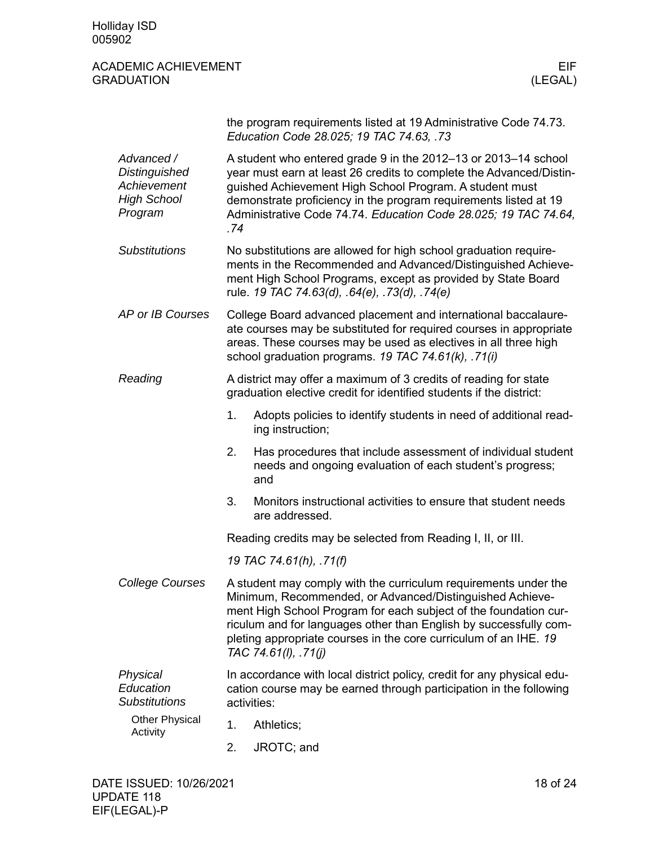|                                                                                    | the program requirements listed at 19 Administrative Code 74.73.<br>Education Code 28.025; 19 TAC 74.63, .73                                                                                                                                                                                                                                                     |                                                                                                                          |  |  |
|------------------------------------------------------------------------------------|------------------------------------------------------------------------------------------------------------------------------------------------------------------------------------------------------------------------------------------------------------------------------------------------------------------------------------------------------------------|--------------------------------------------------------------------------------------------------------------------------|--|--|
| Advanced /<br><b>Distinguished</b><br>Achievement<br><b>High School</b><br>Program | A student who entered grade 9 in the 2012-13 or 2013-14 school<br>year must earn at least 26 credits to complete the Advanced/Distin-<br>guished Achievement High School Program. A student must<br>demonstrate proficiency in the program requirements listed at 19<br>Administrative Code 74.74. Education Code 28.025; 19 TAC 74.64,<br>.74                   |                                                                                                                          |  |  |
| <b>Substitutions</b>                                                               | No substitutions are allowed for high school graduation require-<br>ments in the Recommended and Advanced/Distinguished Achieve-<br>ment High School Programs, except as provided by State Board<br>rule. 19 TAC 74.63(d), .64(e), .73(d), .74(e)                                                                                                                |                                                                                                                          |  |  |
| AP or IB Courses                                                                   | College Board advanced placement and international baccalaure-<br>ate courses may be substituted for required courses in appropriate<br>areas. These courses may be used as electives in all three high<br>school graduation programs. 19 TAC 74.61(k), .71(i)                                                                                                   |                                                                                                                          |  |  |
| Reading                                                                            | A district may offer a maximum of 3 credits of reading for state<br>graduation elective credit for identified students if the district:                                                                                                                                                                                                                          |                                                                                                                          |  |  |
|                                                                                    | 1.<br>ing instruction;                                                                                                                                                                                                                                                                                                                                           | Adopts policies to identify students in need of additional read-                                                         |  |  |
|                                                                                    | 2.<br>and                                                                                                                                                                                                                                                                                                                                                        | Has procedures that include assessment of individual student<br>needs and ongoing evaluation of each student's progress; |  |  |
|                                                                                    | 3.<br>are addressed.                                                                                                                                                                                                                                                                                                                                             | Monitors instructional activities to ensure that student needs                                                           |  |  |
|                                                                                    | Reading credits may be selected from Reading I, II, or III.                                                                                                                                                                                                                                                                                                      |                                                                                                                          |  |  |
|                                                                                    | 19 TAC 74.61(h), .71(f)                                                                                                                                                                                                                                                                                                                                          |                                                                                                                          |  |  |
| <b>College Courses</b>                                                             | A student may comply with the curriculum requirements under the<br>Minimum, Recommended, or Advanced/Distinguished Achieve-<br>ment High School Program for each subject of the foundation cur-<br>riculum and for languages other than English by successfully com-<br>pleting appropriate courses in the core curriculum of an IHE. 19<br>TAC 74.61(I), .71(j) |                                                                                                                          |  |  |
| Physical<br>Education<br><b>Substitutions</b><br><b>Other Physical</b><br>Activity | In accordance with local district policy, credit for any physical edu-<br>cation course may be earned through participation in the following<br>activities:                                                                                                                                                                                                      |                                                                                                                          |  |  |
|                                                                                    | 1.<br>Athletics;                                                                                                                                                                                                                                                                                                                                                 |                                                                                                                          |  |  |
|                                                                                    | 2.<br>JROTC; and                                                                                                                                                                                                                                                                                                                                                 |                                                                                                                          |  |  |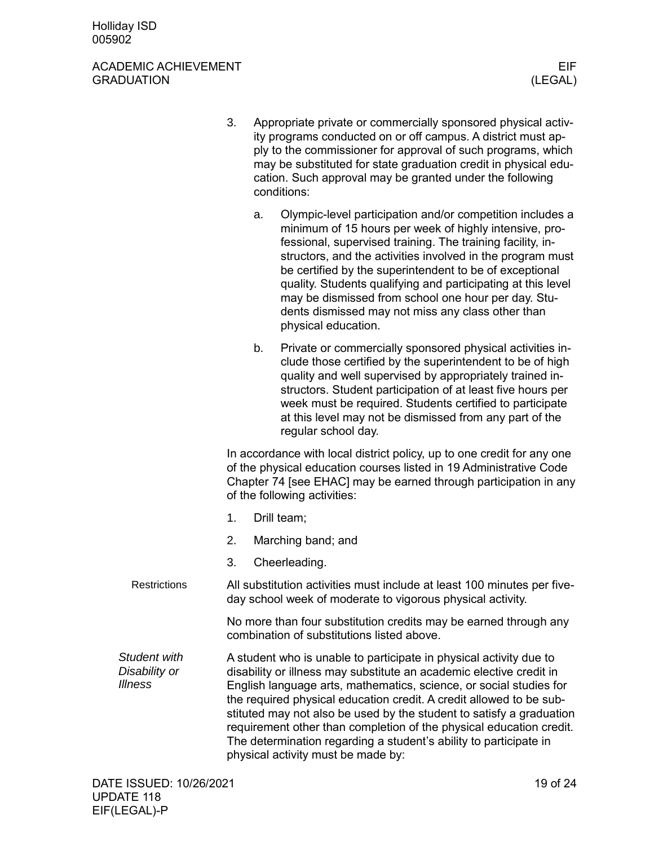#### ACADEMIC ACHIEVEMENT EIF GRADUATION (LEGAL)

- 3. Appropriate private or commercially sponsored physical activity programs conducted on or off campus. A district must apply to the commissioner for approval of such programs, which may be substituted for state graduation credit in physical education. Such approval may be granted under the following conditions: a. Olympic-level participation and/or competition includes a minimum of 15 hours per week of highly intensive, professional, supervised training. The training facility, instructors, and the activities involved in the program must be certified by the superintendent to be of exceptional quality. Students qualifying and participating at this level may be dismissed from school one hour per day. Students dismissed may not miss any class other than
	- b. Private or commercially sponsored physical activities include those certified by the superintendent to be of high quality and well supervised by appropriately trained instructors. Student participation of at least five hours per week must be required. Students certified to participate at this level may not be dismissed from any part of the regular school day.

In accordance with local district policy, up to one credit for any one of the physical education courses listed in 19 Administrative Code Chapter 74 [see EHAC] may be earned through participation in any of the following activities:

- 1. Drill team;
- 2. Marching band; and
- 3. Cheerleading.
- All substitution activities must include at least 100 minutes per fiveday school week of moderate to vigorous physical activity. **Restrictions**

physical education.

No more than four substitution credits may be earned through any combination of substitutions listed above.

*Student with Disability or Illness*

A student who is unable to participate in physical activity due to disability or illness may substitute an academic elective credit in English language arts, mathematics, science, or social studies for the required physical education credit. A credit allowed to be substituted may not also be used by the student to satisfy a graduation requirement other than completion of the physical education credit. The determination regarding a student's ability to participate in physical activity must be made by: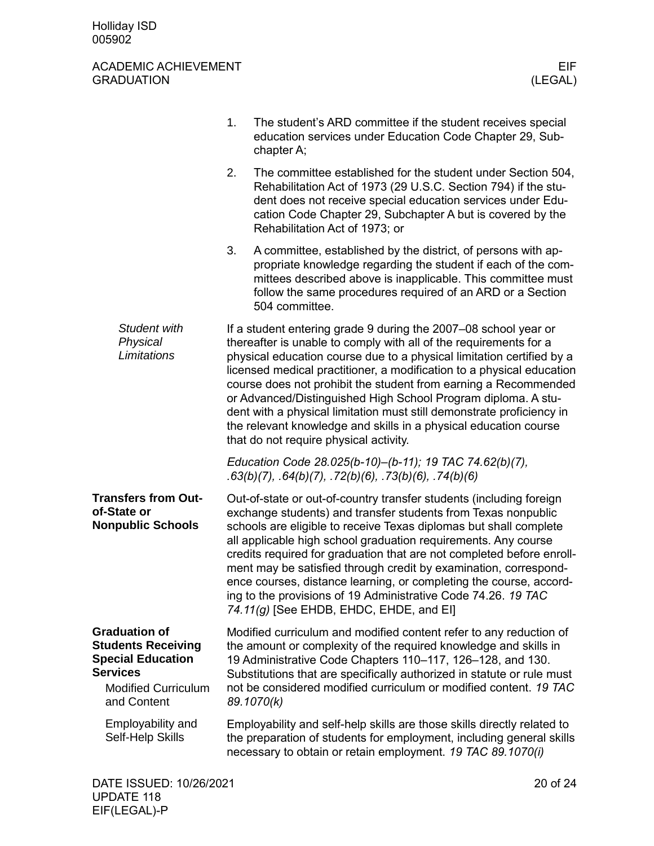<span id="page-19-3"></span><span id="page-19-2"></span><span id="page-19-1"></span><span id="page-19-0"></span>

|                                                                                                                                               | 1. | The student's ARD committee if the student receives special<br>education services under Education Code Chapter 29, Sub-<br>chapter A;                                                                                                                                                                                                                                                                                                                                                                                                                                                                             |
|-----------------------------------------------------------------------------------------------------------------------------------------------|----|-------------------------------------------------------------------------------------------------------------------------------------------------------------------------------------------------------------------------------------------------------------------------------------------------------------------------------------------------------------------------------------------------------------------------------------------------------------------------------------------------------------------------------------------------------------------------------------------------------------------|
|                                                                                                                                               | 2. | The committee established for the student under Section 504,<br>Rehabilitation Act of 1973 (29 U.S.C. Section 794) if the stu-<br>dent does not receive special education services under Edu-<br>cation Code Chapter 29, Subchapter A but is covered by the<br>Rehabilitation Act of 1973; or                                                                                                                                                                                                                                                                                                                     |
|                                                                                                                                               | 3. | A committee, established by the district, of persons with ap-<br>propriate knowledge regarding the student if each of the com-<br>mittees described above is inapplicable. This committee must<br>follow the same procedures required of an ARD or a Section<br>504 committee.                                                                                                                                                                                                                                                                                                                                    |
| Student with<br>Physical<br>Limitations                                                                                                       |    | If a student entering grade 9 during the 2007–08 school year or<br>thereafter is unable to comply with all of the requirements for a<br>physical education course due to a physical limitation certified by a<br>licensed medical practitioner, a modification to a physical education<br>course does not prohibit the student from earning a Recommended<br>or Advanced/Distinguished High School Program diploma. A stu-<br>dent with a physical limitation must still demonstrate proficiency in<br>the relevant knowledge and skills in a physical education course<br>that do not require physical activity. |
|                                                                                                                                               |    | Education Code 28.025(b-10)-(b-11); 19 TAC 74.62(b)(7),<br>$.63(b)(7)$ , $.64(b)(7)$ , $.72(b)(6)$ , $.73(b)(6)$ , $.74(b)(6)$                                                                                                                                                                                                                                                                                                                                                                                                                                                                                    |
| <b>Transfers from Out-</b><br>of-State or<br><b>Nonpublic Schools</b>                                                                         |    | Out-of-state or out-of-country transfer students (including foreign<br>exchange students) and transfer students from Texas nonpublic<br>schools are eligible to receive Texas diplomas but shall complete<br>all applicable high school graduation requirements. Any course<br>credits required for graduation that are not completed before enroll-<br>ment may be satisfied through credit by examination, correspond-<br>ence courses, distance learning, or completing the course, accord-<br>ing to the provisions of 19 Administrative Code 74.26. 19 TAC<br>74.11(g) [See EHDB, EHDC, EHDE, and EI]        |
| <b>Graduation of</b><br><b>Students Receiving</b><br><b>Special Education</b><br><b>Services</b><br><b>Modified Curriculum</b><br>and Content |    | Modified curriculum and modified content refer to any reduction of<br>the amount or complexity of the required knowledge and skills in<br>19 Administrative Code Chapters 110-117, 126-128, and 130.<br>Substitutions that are specifically authorized in statute or rule must<br>not be considered modified curriculum or modified content. 19 TAC<br>89.1070(k)                                                                                                                                                                                                                                                 |
| Employability and<br>Self-Help Skills                                                                                                         |    | Employability and self-help skills are those skills directly related to<br>the preparation of students for employment, including general skills<br>necessary to obtain or retain employment. 19 TAC 89.1070(i)                                                                                                                                                                                                                                                                                                                                                                                                    |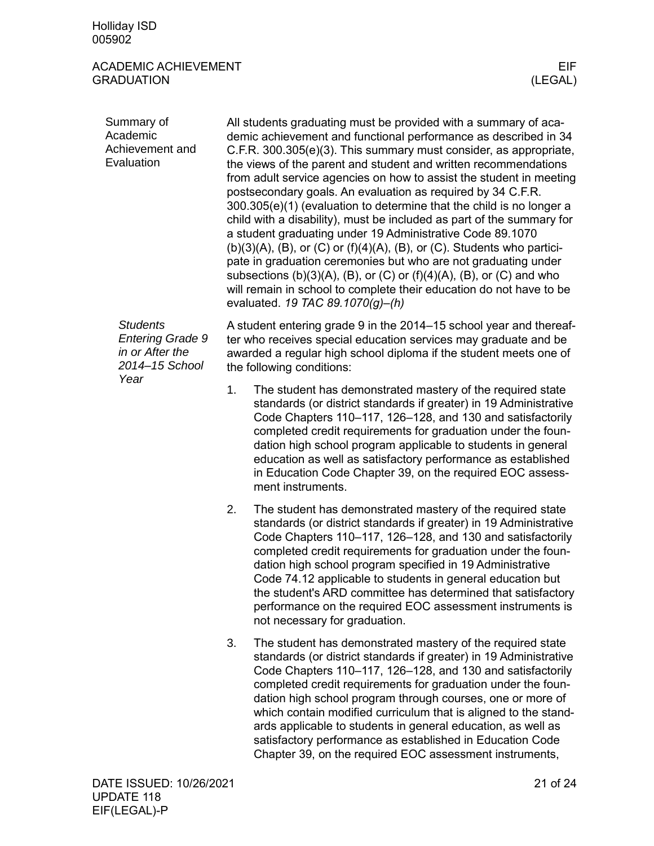<span id="page-20-0"></span>

| Summary of<br>Academic<br>Achievement and<br>Evaluation                                 |    | All students graduating must be provided with a summary of aca-<br>demic achievement and functional performance as described in 34<br>C.F.R. 300.305(e)(3). This summary must consider, as appropriate,<br>the views of the parent and student and written recommendations<br>from adult service agencies on how to assist the student in meeting<br>postsecondary goals. An evaluation as required by 34 C.F.R.<br>300.305(e)(1) (evaluation to determine that the child is no longer a<br>child with a disability), must be included as part of the summary for<br>a student graduating under 19 Administrative Code 89.1070<br>$(b)(3)(A)$ , $(B)$ , or $(C)$ or $(f)(4)(A)$ , $(B)$ , or $(C)$ . Students who partici-<br>pate in graduation ceremonies but who are not graduating under<br>subsections $(b)(3)(A)$ , $(B)$ , or $(C)$ or $(f)(4)(A)$ , $(B)$ , or $(C)$ and who<br>will remain in school to complete their education do not have to be<br>evaluated. 19 TAC 89.1070(g)-(h) |
|-----------------------------------------------------------------------------------------|----|-------------------------------------------------------------------------------------------------------------------------------------------------------------------------------------------------------------------------------------------------------------------------------------------------------------------------------------------------------------------------------------------------------------------------------------------------------------------------------------------------------------------------------------------------------------------------------------------------------------------------------------------------------------------------------------------------------------------------------------------------------------------------------------------------------------------------------------------------------------------------------------------------------------------------------------------------------------------------------------------------|
| <b>Students</b><br><b>Entering Grade 9</b><br>in or After the<br>2014-15 School<br>Year |    | A student entering grade 9 in the 2014–15 school year and thereaf-<br>ter who receives special education services may graduate and be<br>awarded a regular high school diploma if the student meets one of<br>the following conditions:                                                                                                                                                                                                                                                                                                                                                                                                                                                                                                                                                                                                                                                                                                                                                         |
|                                                                                         | 1. | The student has demonstrated mastery of the required state<br>standards (or district standards if greater) in 19 Administrative<br>Code Chapters 110-117, 126-128, and 130 and satisfactorily<br>completed credit requirements for graduation under the foun-<br>dation high school program applicable to students in general<br>education as well as satisfactory performance as established<br>in Education Code Chapter 39, on the required EOC assess-<br>ment instruments.                                                                                                                                                                                                                                                                                                                                                                                                                                                                                                                 |
|                                                                                         | 2. | The student has demonstrated mastery of the required state<br>standards (or district standards if greater) in 19 Administrative<br>Code Chapters 110-117, 126-128, and 130 and satisfactorily<br>completed credit requirements for graduation under the foun-<br>dation high school program specified in 19 Administrative<br>Code 74.12 applicable to students in general education but<br>the student's ARD committee has determined that satisfactory<br>performance on the required EOC assessment instruments is<br>not necessary for graduation.                                                                                                                                                                                                                                                                                                                                                                                                                                          |
|                                                                                         | 3. | The student has demonstrated mastery of the required state<br>standards (or district standards if greater) in 19 Administrative<br>Code Chapters 110-117, 126-128, and 130 and satisfactorily<br>completed credit requirements for graduation under the foun-<br>dation high school program through courses, one or more of<br>which contain modified curriculum that is aligned to the stand-<br>ards applicable to students in general education, as well as<br>satisfactory performance as established in Education Code<br>Chapter 39, on the required EOC assessment instruments,                                                                                                                                                                                                                                                                                                                                                                                                          |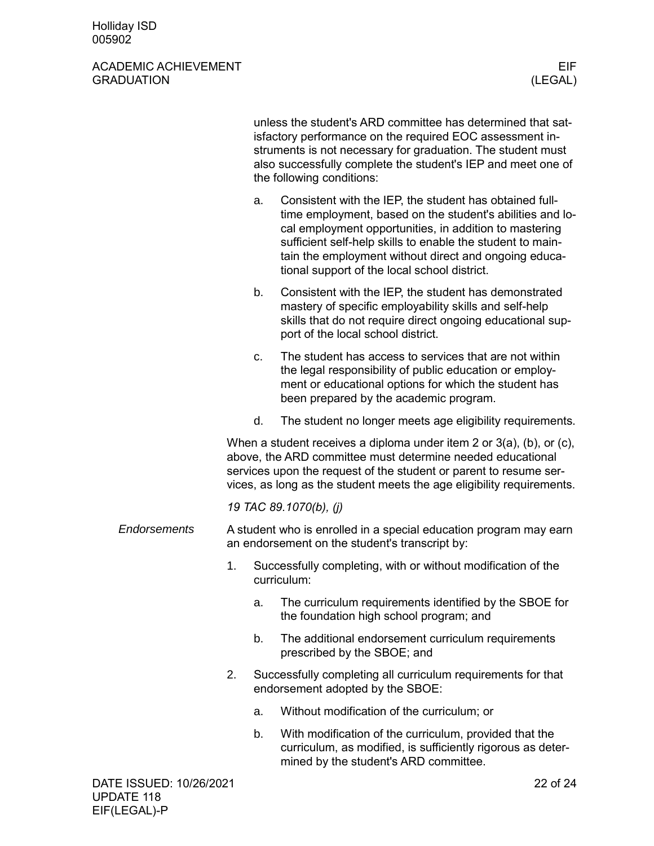|                         |                                                                                                                     |    | unless the student's ARD committee has determined that sat-<br>isfactory performance on the required EOC assessment in-<br>struments is not necessary for graduation. The student must<br>also successfully complete the student's IEP and meet one of<br>the following conditions:                                                                   |
|-------------------------|---------------------------------------------------------------------------------------------------------------------|----|-------------------------------------------------------------------------------------------------------------------------------------------------------------------------------------------------------------------------------------------------------------------------------------------------------------------------------------------------------|
|                         |                                                                                                                     | a. | Consistent with the IEP, the student has obtained full-<br>time employment, based on the student's abilities and lo-<br>cal employment opportunities, in addition to mastering<br>sufficient self-help skills to enable the student to main-<br>tain the employment without direct and ongoing educa-<br>tional support of the local school district. |
|                         |                                                                                                                     | b. | Consistent with the IEP, the student has demonstrated<br>mastery of specific employability skills and self-help<br>skills that do not require direct ongoing educational sup-<br>port of the local school district.                                                                                                                                   |
|                         |                                                                                                                     | C. | The student has access to services that are not within<br>the legal responsibility of public education or employ-<br>ment or educational options for which the student has<br>been prepared by the academic program.                                                                                                                                  |
|                         |                                                                                                                     | d. | The student no longer meets age eligibility requirements.                                                                                                                                                                                                                                                                                             |
|                         |                                                                                                                     |    | When a student receives a diploma under item 2 or $3(a)$ , (b), or (c),<br>above, the ARD committee must determine needed educational<br>services upon the request of the student or parent to resume ser-<br>vices, as long as the student meets the age eligibility requirements.                                                                   |
|                         |                                                                                                                     |    | 19 TAC 89.1070(b), (j)                                                                                                                                                                                                                                                                                                                                |
| <b>Endorsements</b>     | A student who is enrolled in a special education program may earn<br>an endorsement on the student's transcript by: |    |                                                                                                                                                                                                                                                                                                                                                       |
|                         | 1.                                                                                                                  |    | Successfully completing, with or without modification of the<br>curriculum:                                                                                                                                                                                                                                                                           |
|                         |                                                                                                                     | a. | The curriculum requirements identified by the SBOE for<br>the foundation high school program; and                                                                                                                                                                                                                                                     |
|                         |                                                                                                                     | b. | The additional endorsement curriculum requirements<br>prescribed by the SBOE; and                                                                                                                                                                                                                                                                     |
|                         | 2.                                                                                                                  |    | Successfully completing all curriculum requirements for that<br>endorsement adopted by the SBOE:                                                                                                                                                                                                                                                      |
|                         |                                                                                                                     | a. | Without modification of the curriculum; or                                                                                                                                                                                                                                                                                                            |
|                         |                                                                                                                     | b. | With modification of the curriculum, provided that the<br>curriculum, as modified, is sufficiently rigorous as deter-<br>mined by the student's ARD committee.                                                                                                                                                                                        |
| DATE ISSUED: 10/26/2021 |                                                                                                                     |    | 22 of 24                                                                                                                                                                                                                                                                                                                                              |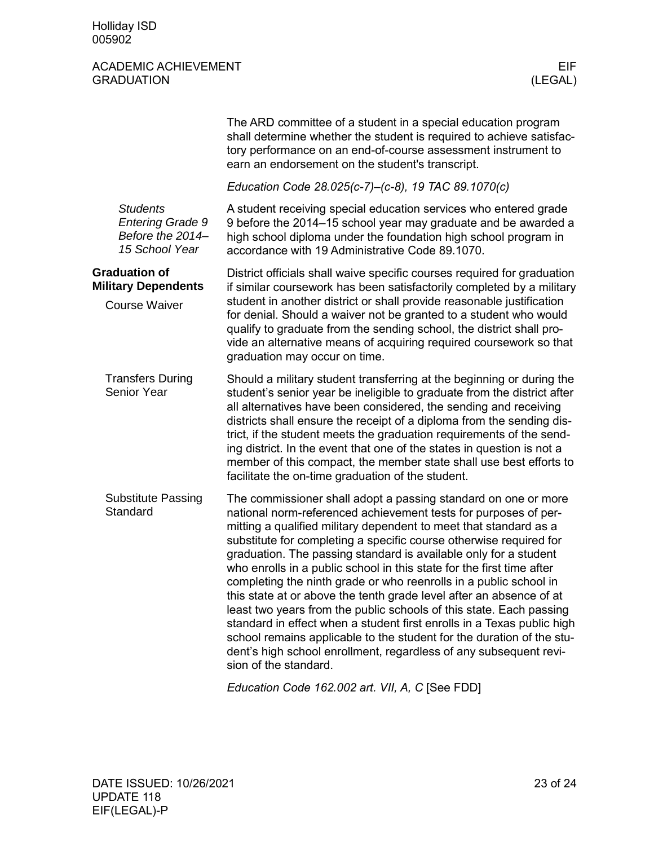<span id="page-22-2"></span><span id="page-22-1"></span><span id="page-22-0"></span>

|                                                                                 | The ARD committee of a student in a special education program<br>shall determine whether the student is required to achieve satisfac-<br>tory performance on an end-of-course assessment instrument to<br>earn an endorsement on the student's transcript.                                                                                                                                                                                                                                                                                                                                                                                                                                                                                                                                                                                                                                    |
|---------------------------------------------------------------------------------|-----------------------------------------------------------------------------------------------------------------------------------------------------------------------------------------------------------------------------------------------------------------------------------------------------------------------------------------------------------------------------------------------------------------------------------------------------------------------------------------------------------------------------------------------------------------------------------------------------------------------------------------------------------------------------------------------------------------------------------------------------------------------------------------------------------------------------------------------------------------------------------------------|
|                                                                                 | Education Code 28.025(c-7)-(c-8), 19 TAC 89.1070(c)                                                                                                                                                                                                                                                                                                                                                                                                                                                                                                                                                                                                                                                                                                                                                                                                                                           |
| <b>Students</b><br><b>Entering Grade 9</b><br>Before the 2014<br>15 School Year | A student receiving special education services who entered grade<br>9 before the 2014–15 school year may graduate and be awarded a<br>high school diploma under the foundation high school program in<br>accordance with 19 Administrative Code 89.1070.                                                                                                                                                                                                                                                                                                                                                                                                                                                                                                                                                                                                                                      |
| <b>Graduation of</b><br><b>Military Dependents</b><br><b>Course Waiver</b>      | District officials shall waive specific courses required for graduation<br>if similar coursework has been satisfactorily completed by a military<br>student in another district or shall provide reasonable justification<br>for denial. Should a waiver not be granted to a student who would<br>qualify to graduate from the sending school, the district shall pro-<br>vide an alternative means of acquiring required coursework so that<br>graduation may occur on time.                                                                                                                                                                                                                                                                                                                                                                                                                 |
| <b>Transfers During</b><br>Senior Year                                          | Should a military student transferring at the beginning or during the<br>student's senior year be ineligible to graduate from the district after<br>all alternatives have been considered, the sending and receiving<br>districts shall ensure the receipt of a diploma from the sending dis-<br>trict, if the student meets the graduation requirements of the send-<br>ing district. In the event that one of the states in question is not a<br>member of this compact, the member state shall use best efforts to<br>facilitate the on-time graduation of the student.                                                                                                                                                                                                                                                                                                                    |
| <b>Substitute Passing</b><br>Standard                                           | The commissioner shall adopt a passing standard on one or more<br>national norm-referenced achievement tests for purposes of per-<br>mitting a qualified military dependent to meet that standard as a<br>substitute for completing a specific course otherwise required for<br>graduation. The passing standard is available only for a student<br>who enrolls in a public school in this state for the first time after<br>completing the ninth grade or who reenrolls in a public school in<br>this state at or above the tenth grade level after an absence of at<br>least two years from the public schools of this state. Each passing<br>standard in effect when a student first enrolls in a Texas public high<br>school remains applicable to the student for the duration of the stu-<br>dent's high school enrollment, regardless of any subsequent revi-<br>sion of the standard. |

<span id="page-22-3"></span>*Education Code 162.002 art. VII, A, C* [See FDD]